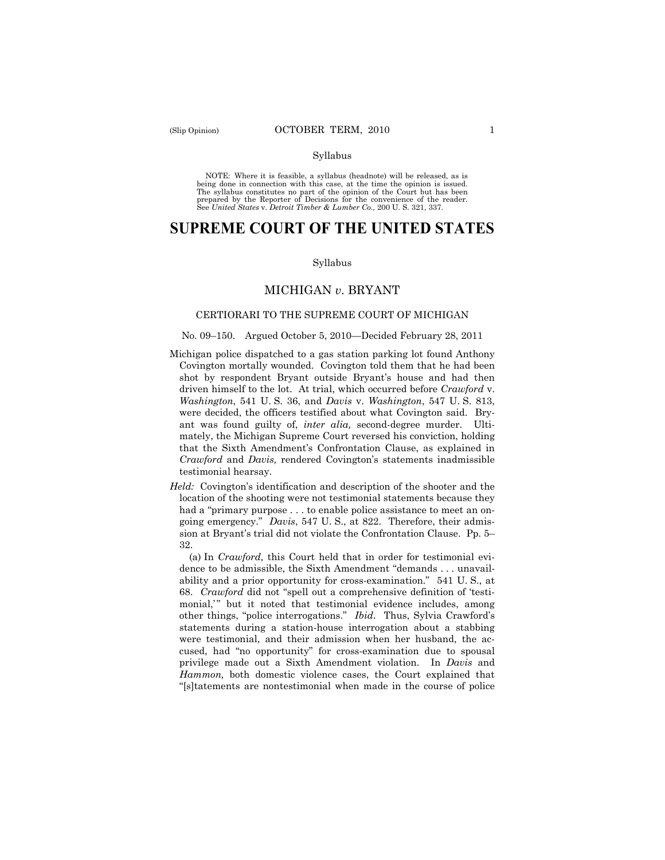NOTE: Where it is feasible, a syllabus (headnote) will be released, as is being done in connection with this case, at the time the opinion is issued. The syllabus constitutes no part of the opinion of the Court but has been<br>prepared by the Reporter of Decisions for the convenience of the reader.<br>See United States v. Detroit Timber & Lumber Co., 200 U. S. 321, 337.

# **SUPREME COURT OF THE UNITED STATES**

#### Syllabus

### MICHIGAN *v*. BRYANT

#### CERTIORARI TO THE SUPREME COURT OF MICHIGAN

#### No. 09–150. Argued October 5, 2010—Decided February 28, 2011

- Michigan police dispatched to a gas station parking lot found Anthony Covington mortally wounded. Covington told them that he had been shot by respondent Bryant outside Bryant's house and had then driven himself to the lot. At trial, which occurred before *Crawford* v. *Washington*, 541 U. S. 36, and *Davis* v. *Washington*, 547 U. S. 813, were decided, the officers testified about what Covington said. Bryant was found guilty of, *inter alia,* second-degree murder. Ultimately, the Michigan Supreme Court reversed his conviction, holding that the Sixth Amendment's Confrontation Clause, as explained in *Crawford* and *Davis,* rendered Covington's statements inadmissible testimonial hearsay.
- *Held:* Covington's identification and description of the shooter and the location of the shooting were not testimonial statements because they had a "primary purpose . . . to enable police assistance to meet an ongoing emergency." *Davis*, 547 U. S., at 822. Therefore, their admission at Bryant's trial did not violate the Confrontation Clause. Pp. 5– 32.

(a) In *Crawford,* this Court held that in order for testimonial evidence to be admissible, the Sixth Amendment "demands . . . unavailability and a prior opportunity for cross-examination." 541 U. S., at 68. *Crawford* did not "spell out a comprehensive definition of 'testimonial," but it noted that testimonial evidence includes, among other things, "police interrogations." *Ibid.* Thus, Sylvia Crawford's statements during a station-house interrogation about a stabbing were testimonial, and their admission when her husband, the accused, had "no opportunity" for cross-examination due to spousal privilege made out a Sixth Amendment violation. In *Davis* and *Hammon,* both domestic violence cases, the Court explained that "[s]tatements are nontestimonial when made in the course of police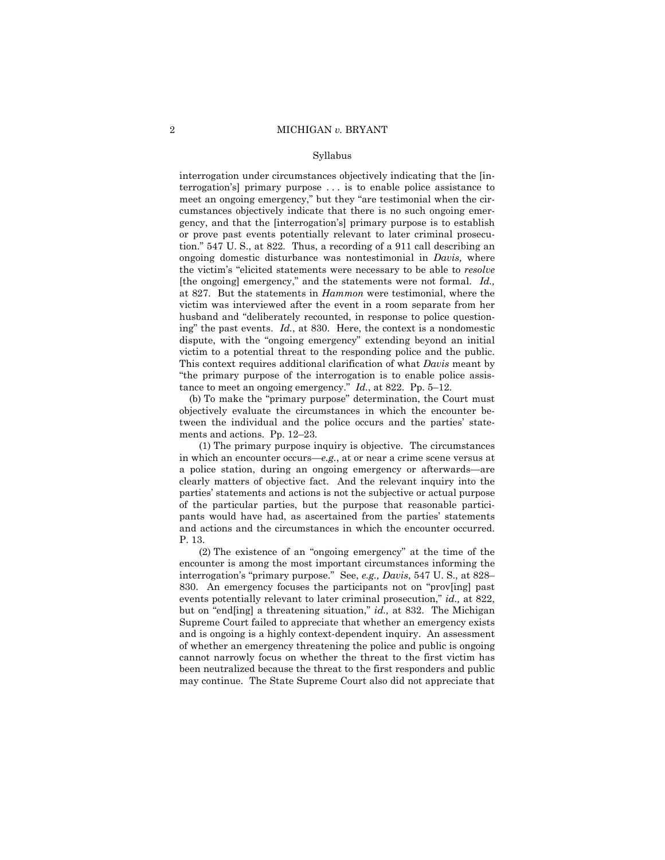interrogation under circumstances objectively indicating that the [interrogation's] primary purpose . . . is to enable police assistance to meet an ongoing emergency," but they "are testimonial when the circumstances objectively indicate that there is no such ongoing emergency, and that the [interrogation's] primary purpose is to establish or prove past events potentially relevant to later criminal prosecution." 547 U. S., at 822*.* Thus, a recording of a 911 call describing an ongoing domestic disturbance was nontestimonial in *Davis,* where the victim's "elicited statements were necessary to be able to *resolve*  [the ongoing] emergency," and the statements were not formal. *Id.,*  at 827. But the statements in *Hammon* were testimonial, where the victim was interviewed after the event in a room separate from her husband and "deliberately recounted, in response to police questioning" the past events. *Id.*, at 830. Here, the context is a nondomestic dispute, with the "ongoing emergency" extending beyond an initial victim to a potential threat to the responding police and the public. This context requires additional clarification of what *Davis* meant by "the primary purpose of the interrogation is to enable police assistance to meet an ongoing emergency." *Id.*, at 822. Pp. 5–12.

(b) To make the "primary purpose" determination, the Court must objectively evaluate the circumstances in which the encounter between the individual and the police occurs and the parties' statements and actions. Pp. 12–23.

(1) The primary purpose inquiry is objective. The circumstances in which an encounter occurs—*e.g.*, at or near a crime scene versus at a police station, during an ongoing emergency or afterwards—are clearly matters of objective fact. And the relevant inquiry into the parties' statements and actions is not the subjective or actual purpose of the particular parties, but the purpose that reasonable participants would have had, as ascertained from the parties' statements and actions and the circumstances in which the encounter occurred. P. 13.

(2) The existence of an "ongoing emergency" at the time of the encounter is among the most important circumstances informing the interrogation's "primary purpose." See, *e.g., Davis*, 547 U. S., at 828– 830. An emergency focuses the participants not on "prov[ing] past events potentially relevant to later criminal prosecution," *id.,* at 822, but on "end[ing] a threatening situation," *id.,* at 832. The Michigan Supreme Court failed to appreciate that whether an emergency exists and is ongoing is a highly context-dependent inquiry. An assessment of whether an emergency threatening the police and public is ongoing cannot narrowly focus on whether the threat to the first victim has been neutralized because the threat to the first responders and public may continue. The State Supreme Court also did not appreciate that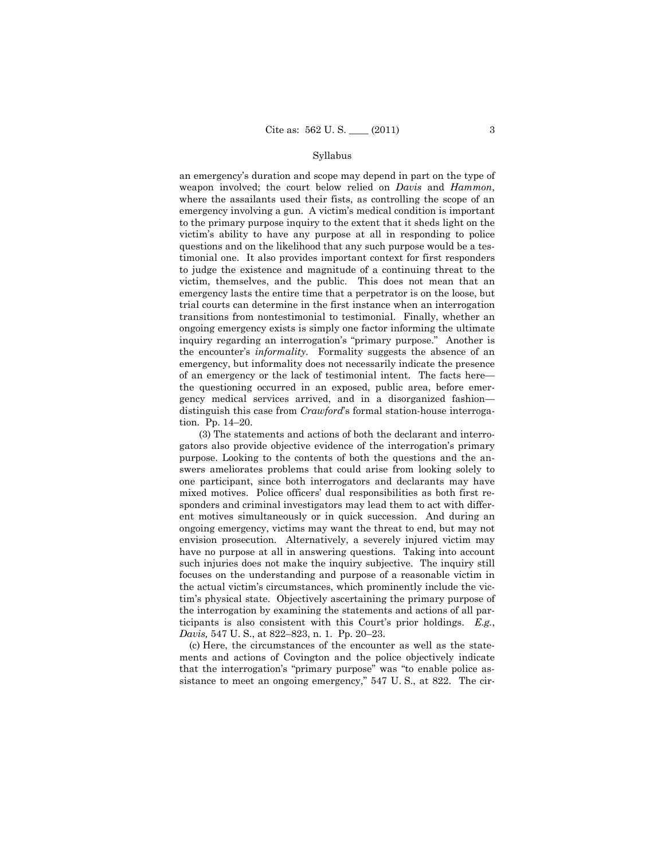an emergency's duration and scope may depend in part on the type of weapon involved; the court below relied on *Davis* and *Hammon*, where the assailants used their fists, as controlling the scope of an emergency involving a gun. A victim's medical condition is important to the primary purpose inquiry to the extent that it sheds light on the victim's ability to have any purpose at all in responding to police questions and on the likelihood that any such purpose would be a testimonial one. It also provides important context for first responders to judge the existence and magnitude of a continuing threat to the victim, themselves, and the public. This does not mean that an emergency lasts the entire time that a perpetrator is on the loose, but trial courts can determine in the first instance when an interrogation transitions from nontestimonial to testimonial. Finally, whether an ongoing emergency exists is simply one factor informing the ultimate inquiry regarding an interrogation's "primary purpose." Another is the encounter's *informality.* Formality suggests the absence of an emergency, but informality does not necessarily indicate the presence of an emergency or the lack of testimonial intent. The facts here the questioning occurred in an exposed, public area, before emergency medical services arrived, and in a disorganized fashion distinguish this case from *Crawford*'s formal station-house interrogation*.* Pp. 14–20.

(3) The statements and actions of both the declarant and interrogators also provide objective evidence of the interrogation's primary purpose. Looking to the contents of both the questions and the answers ameliorates problems that could arise from looking solely to one participant, since both interrogators and declarants may have mixed motives. Police officers' dual responsibilities as both first responders and criminal investigators may lead them to act with different motives simultaneously or in quick succession. And during an ongoing emergency, victims may want the threat to end, but may not envision prosecution. Alternatively, a severely injured victim may have no purpose at all in answering questions. Taking into account such injuries does not make the inquiry subjective. The inquiry still focuses on the understanding and purpose of a reasonable victim in the actual victim's circumstances, which prominently include the victim's physical state. Objectively ascertaining the primary purpose of the interrogation by examining the statements and actions of all participants is also consistent with this Court's prior holdings. *E.g.*, *Davis,* 547 U. S., at 822–823, n. 1. Pp. 20–23.

(c) Here, the circumstances of the encounter as well as the statements and actions of Covington and the police objectively indicate that the interrogation's "primary purpose" was "to enable police assistance to meet an ongoing emergency," 547 U. S., at 822. The cir-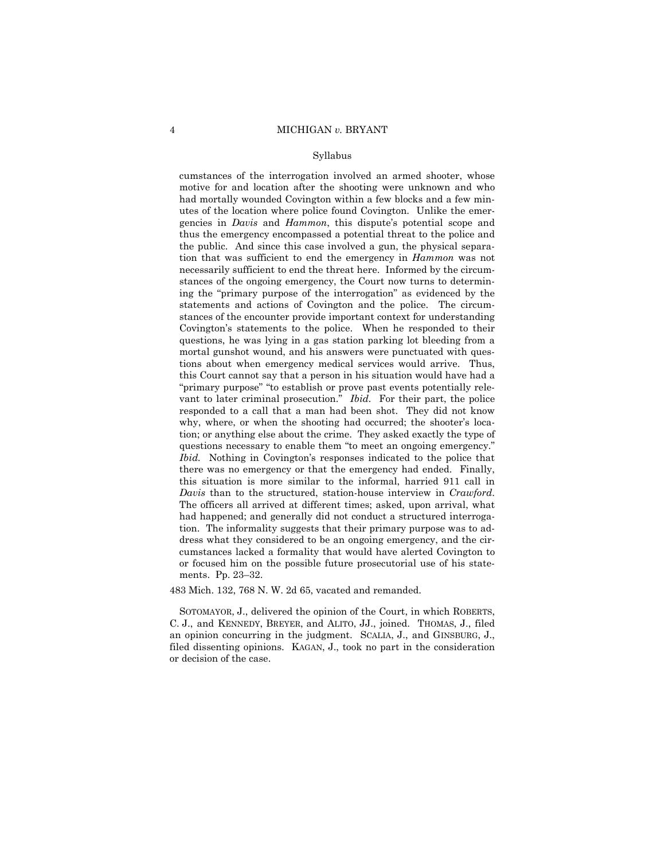cumstances of the interrogation involved an armed shooter, whose motive for and location after the shooting were unknown and who had mortally wounded Covington within a few blocks and a few minutes of the location where police found Covington. Unlike the emergencies in *Davis* and *Hammon*, this dispute's potential scope and thus the emergency encompassed a potential threat to the police and the public. And since this case involved a gun, the physical separation that was sufficient to end the emergency in *Hammon* was not necessarily sufficient to end the threat here. Informed by the circumstances of the ongoing emergency, the Court now turns to determining the "primary purpose of the interrogation" as evidenced by the statements and actions of Covington and the police. The circumstances of the encounter provide important context for understanding Covington's statements to the police. When he responded to their questions, he was lying in a gas station parking lot bleeding from a mortal gunshot wound, and his answers were punctuated with questions about when emergency medical services would arrive. Thus, this Court cannot say that a person in his situation would have had a "primary purpose" "to establish or prove past events potentially relevant to later criminal prosecution." *Ibid.* For their part, the police responded to a call that a man had been shot. They did not know why, where, or when the shooting had occurred; the shooter's location; or anything else about the crime. They asked exactly the type of questions necessary to enable them "to meet an ongoing emergency." *Ibid.* Nothing in Covington's responses indicated to the police that there was no emergency or that the emergency had ended. Finally, this situation is more similar to the informal, harried 911 call in *Davis* than to the structured, station-house interview in *Crawford*. The officers all arrived at different times; asked, upon arrival, what had happened; and generally did not conduct a structured interrogation. The informality suggests that their primary purpose was to address what they considered to be an ongoing emergency, and the circumstances lacked a formality that would have alerted Covington to or focused him on the possible future prosecutorial use of his statements. Pp. 23–32.

483 Mich. 132, 768 N. W. 2d 65, vacated and remanded.

SOTOMAYOR, J., delivered the opinion of the Court, in which ROBERTS, C. J., and KENNEDY, BREYER, and ALITO, JJ., joined. THOMAS, J., filed an opinion concurring in the judgment. SCALIA, J., and GINSBURG, J., filed dissenting opinions. KAGAN, J., took no part in the consideration or decision of the case.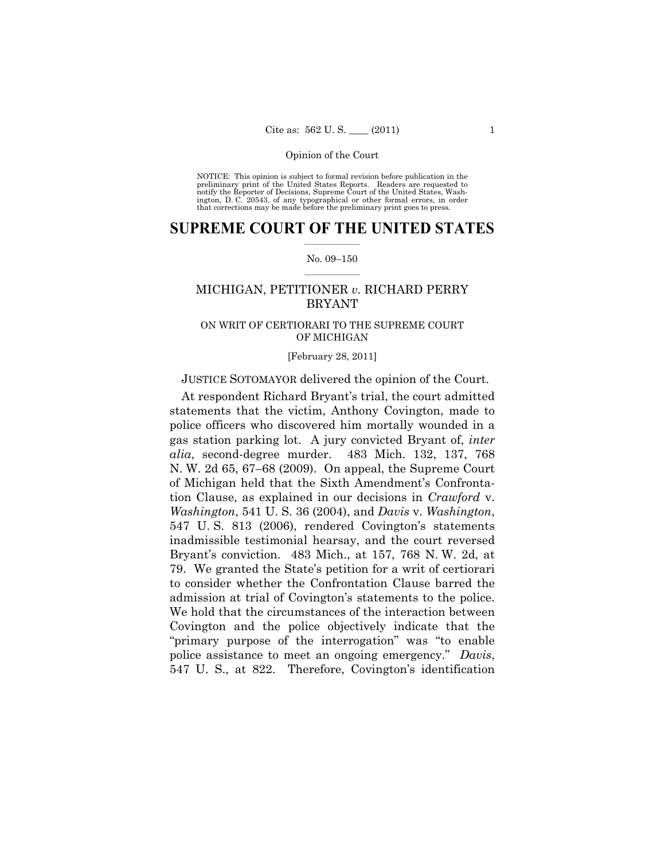NOTICE: This opinion is subject to formal revision before publication in the preliminary print of the United States Reports. Readers are requested to notify the Reporter of Decisions, Supreme Court of the United States, Washington, D. C. 20543, of any typographical or other formal errors, in order that corrections may be made before the preliminary print goes to press.

### $\frac{1}{2}$  , where  $\frac{1}{2}$ **SUPREME COURT OF THE UNITED STATES**

#### $\frac{1}{2}$  ,  $\frac{1}{2}$  ,  $\frac{1}{2}$  ,  $\frac{1}{2}$  ,  $\frac{1}{2}$  ,  $\frac{1}{2}$ No. 09–150

# MICHIGAN, PETITIONER *v.* RICHARD PERRY BRYANT

### ON WRIT OF CERTIORARI TO THE SUPREME COURT OF MICHIGAN

### [February 28, 2011]

### JUSTICE SOTOMAYOR delivered the opinion of the Court.

At respondent Richard Bryant's trial, the court admitted statements that the victim, Anthony Covington, made to police officers who discovered him mortally wounded in a gas station parking lot. A jury convicted Bryant of, *inter alia*, second-degree murder. 483 Mich. 132, 137, 768 N. W. 2d 65, 67–68 (2009). On appeal, the Supreme Court of Michigan held that the Sixth Amendment's Confrontation Clause, as explained in our decisions in *Crawford* v. *Washington*, 541 U. S. 36 (2004), and *Davis* v. *Washington*, 547 U. S. 813 (2006), rendered Covington's statements inadmissible testimonial hearsay, and the court reversed Bryant's conviction. 483 Mich., at 157, 768 N. W. 2d, at 79. We granted the State's petition for a writ of certiorari to consider whether the Confrontation Clause barred the admission at trial of Covington's statements to the police. We hold that the circumstances of the interaction between Covington and the police objectively indicate that the "primary purpose of the interrogation" was "to enable police assistance to meet an ongoing emergency." *Davis*, 547 U. S., at 822. Therefore, Covington's identification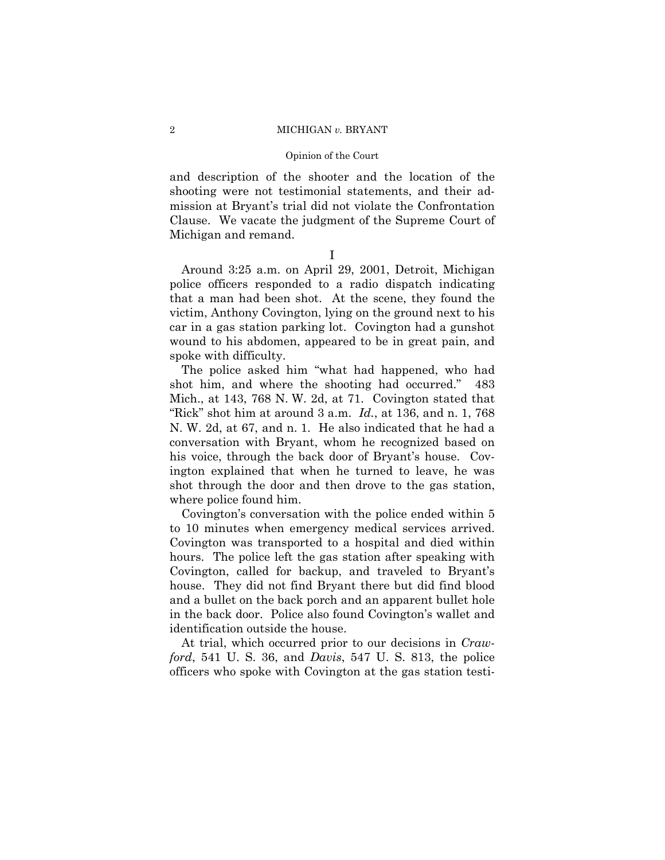#### Opinion of the Court

and description of the shooter and the location of the shooting were not testimonial statements, and their admission at Bryant's trial did not violate the Confrontation Clause. We vacate the judgment of the Supreme Court of Michigan and remand.

I

Around 3:25 a.m. on April 29, 2001, Detroit, Michigan police officers responded to a radio dispatch indicating that a man had been shot. At the scene, they found the victim, Anthony Covington, lying on the ground next to his car in a gas station parking lot. Covington had a gunshot wound to his abdomen, appeared to be in great pain, and spoke with difficulty.

The police asked him "what had happened, who had shot him, and where the shooting had occurred." 483 Mich., at 143, 768 N. W. 2d, at 71. Covington stated that "Rick" shot him at around 3 a.m. *Id.*, at 136, and n. 1, 768 N. W. 2d, at 67, and n. 1. He also indicated that he had a conversation with Bryant, whom he recognized based on his voice, through the back door of Bryant's house. Covington explained that when he turned to leave, he was shot through the door and then drove to the gas station, where police found him.

Covington's conversation with the police ended within 5 to 10 minutes when emergency medical services arrived. Covington was transported to a hospital and died within hours. The police left the gas station after speaking with Covington, called for backup, and traveled to Bryant's house. They did not find Bryant there but did find blood and a bullet on the back porch and an apparent bullet hole in the back door. Police also found Covington's wallet and identification outside the house.

At trial, which occurred prior to our decisions in *Crawford*, 541 U. S. 36, and *Davis*, 547 U. S. 813, the police officers who spoke with Covington at the gas station testi-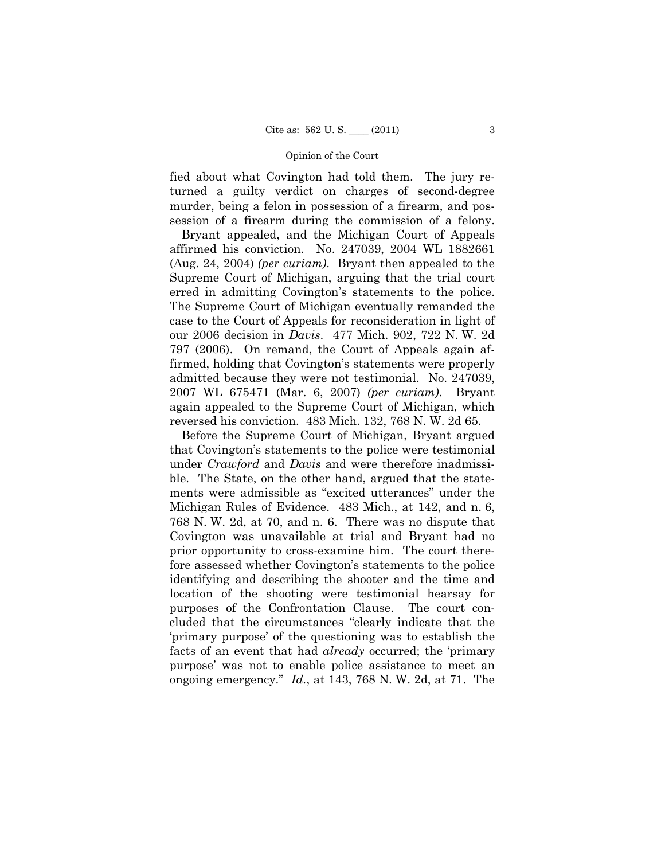fied about what Covington had told them. The jury returned a guilty verdict on charges of second-degree murder, being a felon in possession of a firearm, and possession of a firearm during the commission of a felony.

Bryant appealed, and the Michigan Court of Appeals affirmed his conviction. No. 247039, 2004 WL 1882661 (Aug. 24, 2004) *(per curiam)*. Bryant then appealed to the Supreme Court of Michigan, arguing that the trial court erred in admitting Covington's statements to the police. The Supreme Court of Michigan eventually remanded the case to the Court of Appeals for reconsideration in light of our 2006 decision in *Davis*. 477 Mich. 902, 722 N. W. 2d 797 (2006). On remand, the Court of Appeals again affirmed, holding that Covington's statements were properly admitted because they were not testimonial. No. 247039, 2007 WL 675471 (Mar. 6, 2007) *(per curiam)*. Bryant again appealed to the Supreme Court of Michigan, which reversed his conviction. 483 Mich. 132, 768 N. W. 2d 65.

Before the Supreme Court of Michigan, Bryant argued that Covington's statements to the police were testimonial under *Crawford* and *Davis* and were therefore inadmissible. The State, on the other hand, argued that the statements were admissible as "excited utterances" under the Michigan Rules of Evidence. 483 Mich., at 142, and n. 6, 768 N. W. 2d, at 70, and n. 6. There was no dispute that Covington was unavailable at trial and Bryant had no prior opportunity to cross-examine him. The court therefore assessed whether Covington's statements to the police identifying and describing the shooter and the time and location of the shooting were testimonial hearsay for purposes of the Confrontation Clause. The court concluded that the circumstances "clearly indicate that the 'primary purpose' of the questioning was to establish the facts of an event that had *already* occurred; the 'primary purpose' was not to enable police assistance to meet an ongoing emergency." *Id.*, at 143, 768 N. W. 2d, at 71. The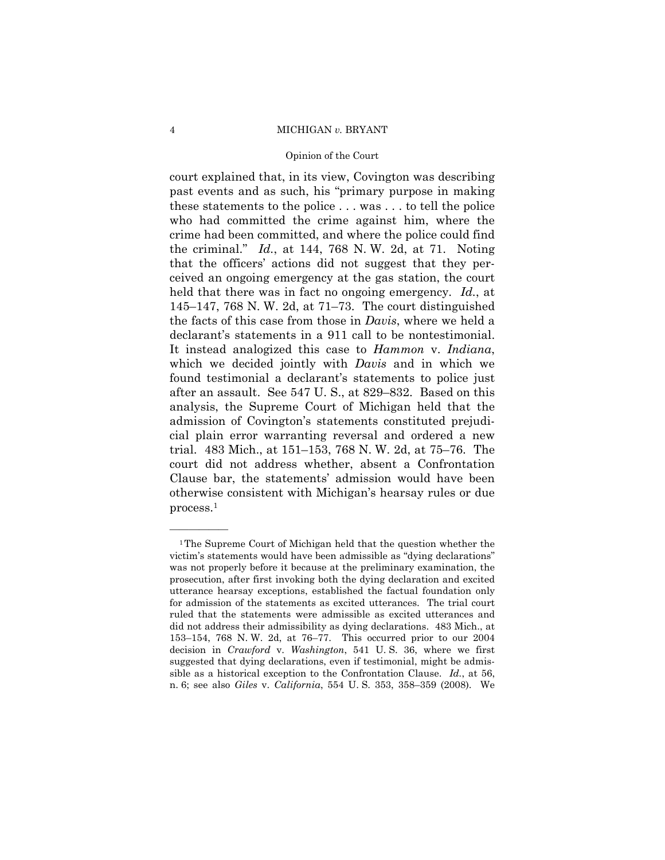#### Opinion of the Court

court explained that, in its view, Covington was describing past events and as such, his "primary purpose in making these statements to the police . . . was . . . to tell the police who had committed the crime against him, where the crime had been committed, and where the police could find the criminal." *Id.*, at 144, 768 N. W. 2d, at 71. Noting that the officers' actions did not suggest that they perceived an ongoing emergency at the gas station, the court held that there was in fact no ongoing emergency. *Id.*, at 145–147, 768 N. W. 2d, at 71–73. The court distinguished the facts of this case from those in *Davis*, where we held a declarant's statements in a 911 call to be nontestimonial. It instead analogized this case to *Hammon* v. *Indiana*, which we decided jointly with *Davis* and in which we found testimonial a declarant's statements to police just after an assault. See 547 U. S., at 829–832. Based on this analysis, the Supreme Court of Michigan held that the admission of Covington's statements constituted prejudicial plain error warranting reversal and ordered a new trial. 483 Mich., at 151–153, 768 N. W. 2d, at 75–76. The court did not address whether, absent a Confrontation Clause bar, the statements' admission would have been otherwise consistent with Michigan's hearsay rules or due process.1

<sup>1</sup>The Supreme Court of Michigan held that the question whether the victim's statements would have been admissible as "dying declarations" was not properly before it because at the preliminary examination, the prosecution, after first invoking both the dying declaration and excited utterance hearsay exceptions, established the factual foundation only for admission of the statements as excited utterances. The trial court ruled that the statements were admissible as excited utterances and did not address their admissibility as dying declarations. 483 Mich., at 153–154, 768 N. W. 2d, at 76–77. This occurred prior to our 2004 decision in *Crawford* v. *Washington*, 541 U. S. 36, where we first suggested that dying declarations, even if testimonial, might be admissible as a historical exception to the Confrontation Clause. *Id.*, at 56, n. 6; see also *Giles* v. *California*, 554 U. S. 353, 358–359 (2008). We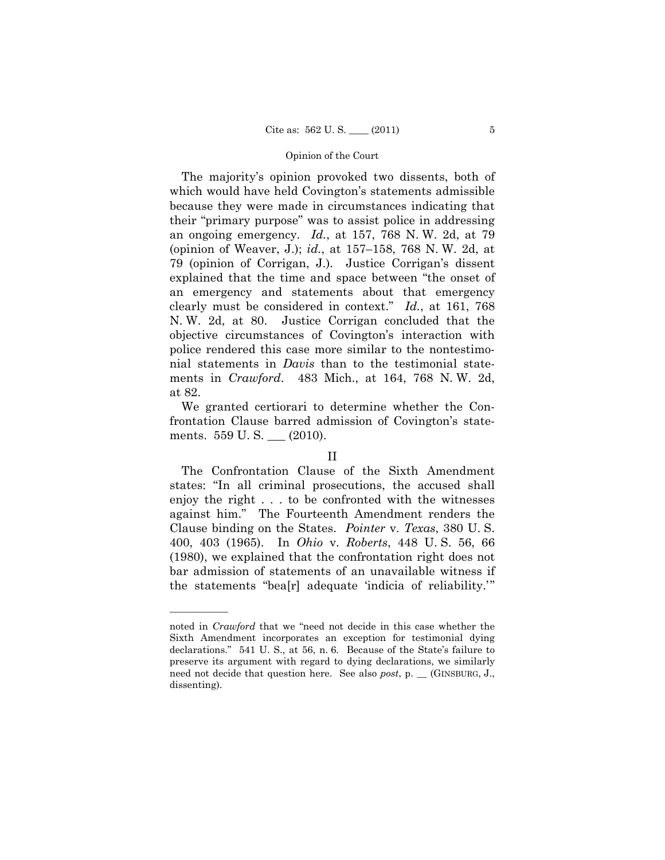The majority's opinion provoked two dissents, both of which would have held Covington's statements admissible because they were made in circumstances indicating that their "primary purpose" was to assist police in addressing an ongoing emergency. *Id.*, at 157, 768 N. W. 2d, at 79 (opinion of Weaver, J.); *id.*, at 157–158, 768 N. W. 2d, at 79 (opinion of Corrigan, J.). Justice Corrigan's dissent explained that the time and space between "the onset of an emergency and statements about that emergency clearly must be considered in context." *Id.*, at 161, 768 N. W. 2d, at 80. Justice Corrigan concluded that the objective circumstances of Covington's interaction with police rendered this case more similar to the nontestimonial statements in *Davis* than to the testimonial statements in *Crawford*. 483 Mich., at 164, 768 N. W. 2d, at 82.

We granted certiorari to determine whether the Confrontation Clause barred admission of Covington's statements. 559 U.S. \_\_ (2010).

### II

The Confrontation Clause of the Sixth Amendment states: "In all criminal prosecutions, the accused shall enjoy the right . . . to be confronted with the witnesses against him." The Fourteenth Amendment renders the Clause binding on the States. *Pointer* v. *Texas*, 380 U. S. 400, 403 (1965). In *Ohio* v. *Roberts*, 448 U. S. 56, 66 (1980), we explained that the confrontation right does not bar admission of statements of an unavailable witness if the statements "bea[r] adequate 'indicia of reliability.'"

noted in *Crawford* that we "need not decide in this case whether the Sixth Amendment incorporates an exception for testimonial dying declarations." 541 U. S., at 56, n. 6*.* Because of the State's failure to preserve its argument with regard to dying declarations, we similarly need not decide that question here. See also *post*, p. \_\_ (GINSBURG, J., dissenting).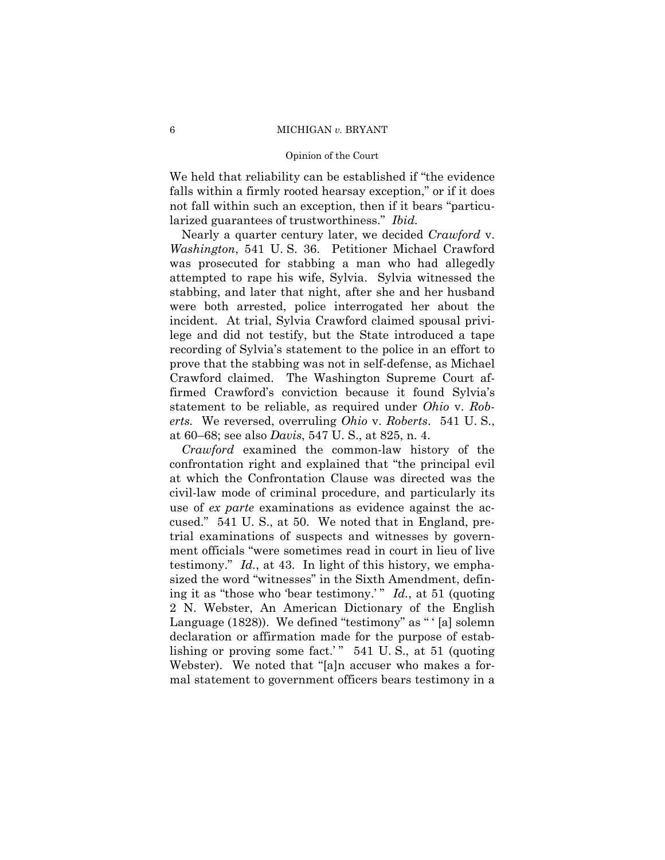#### Opinion of the Court

We held that reliability can be established if "the evidence falls within a firmly rooted hearsay exception," or if it does not fall within such an exception, then if it bears "particularized guarantees of trustworthiness." *Ibid.* 

Nearly a quarter century later, we decided *Crawford* v. *Washington*, 541 U. S. 36. Petitioner Michael Crawford was prosecuted for stabbing a man who had allegedly attempted to rape his wife, Sylvia. Sylvia witnessed the stabbing, and later that night, after she and her husband were both arrested, police interrogated her about the incident. At trial, Sylvia Crawford claimed spousal privilege and did not testify, but the State introduced a tape recording of Sylvia's statement to the police in an effort to prove that the stabbing was not in self-defense, as Michael Crawford claimed. The Washington Supreme Court affirmed Crawford's conviction because it found Sylvia's statement to be reliable, as required under *Ohio* v. *Roberts.* We reversed, overruling *Ohio* v. *Roberts*. 541 U. S., at 60–68; see also *Davis*, 547 U. S., at 825, n. 4.

*Crawford* examined the common-law history of the confrontation right and explained that "the principal evil at which the Confrontation Clause was directed was the civil-law mode of criminal procedure, and particularly its use of *ex parte* examinations as evidence against the accused." 541 U. S., at 50. We noted that in England, pretrial examinations of suspects and witnesses by government officials "were sometimes read in court in lieu of live testimony." *Id.*, at 43. In light of this history, we emphasized the word "witnesses" in the Sixth Amendment, defining it as "those who 'bear testimony.'" *Id.*, at 51 (quoting 2 N. Webster, An American Dictionary of the English Language (1828)). We defined "testimony" as " ' [a] solemn declaration or affirmation made for the purpose of establishing or proving some fact.'"  $541$  U.S., at 51 (quoting Webster). We noted that "[a]n accuser who makes a formal statement to government officers bears testimony in a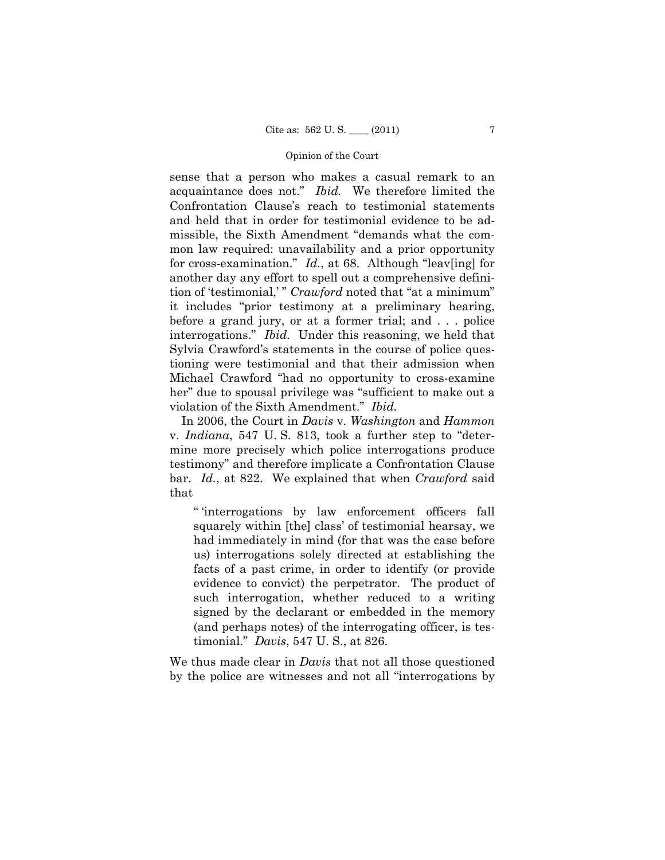sense that a person who makes a casual remark to an acquaintance does not." *Ibid.* We therefore limited the Confrontation Clause's reach to testimonial statements and held that in order for testimonial evidence to be admissible, the Sixth Amendment "demands what the common law required: unavailability and a prior opportunity for cross-examination." *Id.*, at 68. Although "leav[ing] for another day any effort to spell out a comprehensive definition of 'testimonial,' " *Crawford* noted that "at a minimum" it includes "prior testimony at a preliminary hearing, before a grand jury, or at a former trial; and . . . police interrogations." *Ibid.* Under this reasoning, we held that Sylvia Crawford's statements in the course of police questioning were testimonial and that their admission when Michael Crawford "had no opportunity to cross-examine her" due to spousal privilege was "sufficient to make out a violation of the Sixth Amendment." *Ibid.* 

In 2006, the Court in *Davis* v. *Washington* and *Hammon*  v. *Indiana*, 547 U. S. 813, took a further step to "determine more precisely which police interrogations produce testimony" and therefore implicate a Confrontation Clause bar. *Id.*, at 822. We explained that when *Crawford* said that

" 'interrogations by law enforcement officers fall squarely within [the] class' of testimonial hearsay, we had immediately in mind (for that was the case before us) interrogations solely directed at establishing the facts of a past crime, in order to identify (or provide evidence to convict) the perpetrator. The product of such interrogation, whether reduced to a writing signed by the declarant or embedded in the memory (and perhaps notes) of the interrogating officer, is testimonial." *Davis*, 547 U. S., at 826.

We thus made clear in *Davis* that not all those questioned by the police are witnesses and not all "interrogations by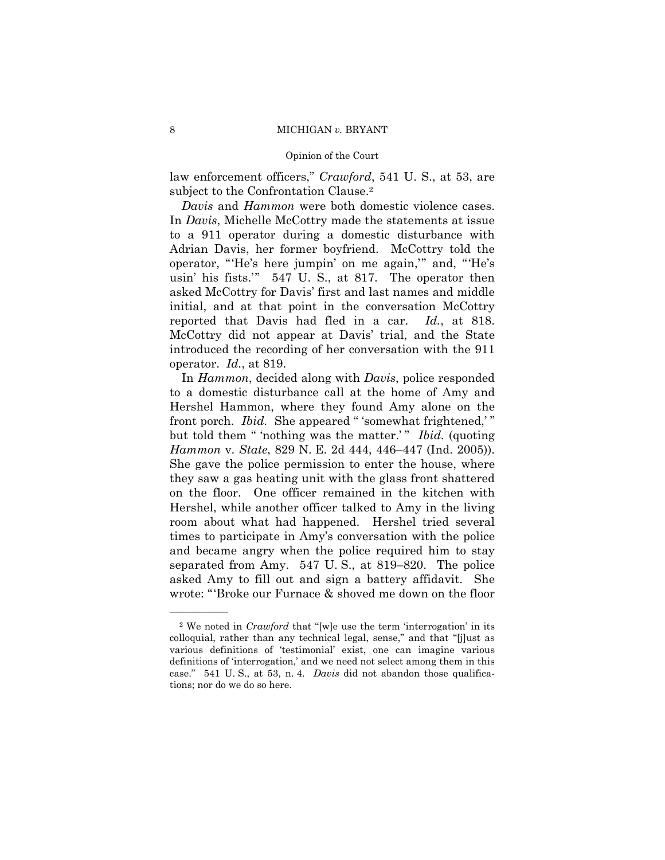law enforcement officers," *Crawford*, 541 U. S., at 53, are subject to the Confrontation Clause.<sup>2</sup>

*Davis* and *Hammon* were both domestic violence cases. In *Davis*, Michelle McCottry made the statements at issue to a 911 operator during a domestic disturbance with Adrian Davis, her former boyfriend. McCottry told the operator, "'He's here jumpin' on me again,'" and, "'He's usin' his fists.'" 547 U. S., at 817. The operator then asked McCottry for Davis' first and last names and middle initial, and at that point in the conversation McCottry reported that Davis had fled in a car. *Id.*, at 818. McCottry did not appear at Davis' trial, and the State introduced the recording of her conversation with the 911 operator. *Id.*, at 819.

In *Hammon*, decided along with *Davis*, police responded to a domestic disturbance call at the home of Amy and Hershel Hammon, where they found Amy alone on the front porch. *Ibid.* She appeared "'somewhat frightened,'" but told them " 'nothing was the matter.' " *Ibid.* (quoting *Hammon* v. *State*, 829 N. E. 2d 444, 446–447 (Ind. 2005)). She gave the police permission to enter the house, where they saw a gas heating unit with the glass front shattered on the floor. One officer remained in the kitchen with Hershel, while another officer talked to Amy in the living room about what had happened. Hershel tried several times to participate in Amy's conversation with the police and became angry when the police required him to stay separated from Amy. 547 U. S., at 819–820. The police asked Amy to fill out and sign a battery affidavit. She wrote: "'Broke our Furnace & shoved me down on the floor

<sup>2</sup> We noted in *Crawford* that "[w]e use the term 'interrogation' in its colloquial, rather than any technical legal, sense," and that "[j]ust as various definitions of 'testimonial' exist, one can imagine various definitions of 'interrogation,' and we need not select among them in this case." 541 U. S., at 53, n. 4. *Davis* did not abandon those qualifications; nor do we do so here.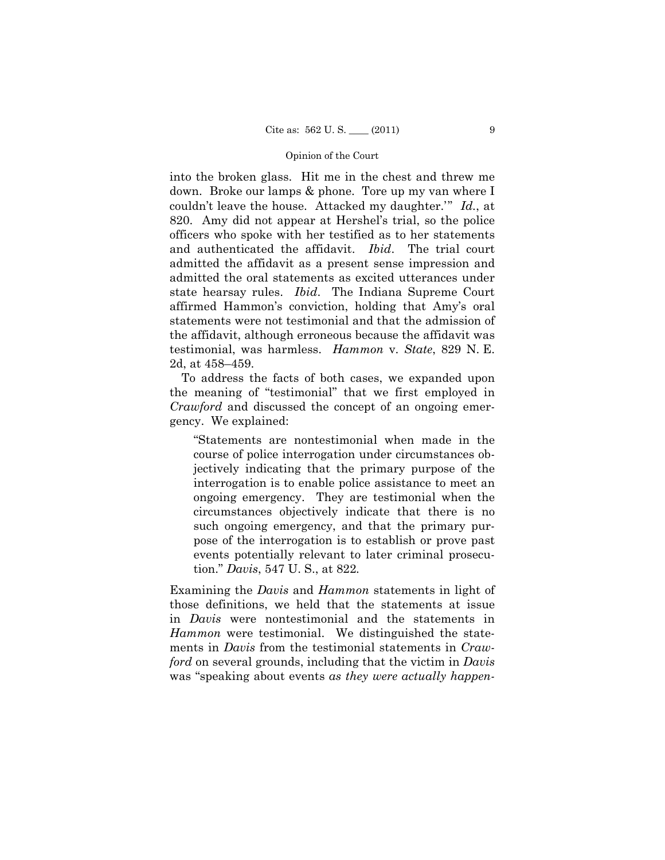into the broken glass. Hit me in the chest and threw me down. Broke our lamps & phone. Tore up my van where I couldn't leave the house. Attacked my daughter.'" *Id.*, at 820. Amy did not appear at Hershel's trial, so the police officers who spoke with her testified as to her statements and authenticated the affidavit. *Ibid*. The trial court admitted the affidavit as a present sense impression and admitted the oral statements as excited utterances under state hearsay rules. *Ibid*. The Indiana Supreme Court affirmed Hammon's conviction, holding that Amy's oral statements were not testimonial and that the admission of the affidavit, although erroneous because the affidavit was testimonial, was harmless. *Hammon* v. *State*, 829 N. E. 2d, at 458–459.

To address the facts of both cases, we expanded upon the meaning of "testimonial" that we first employed in *Crawford* and discussed the concept of an ongoing emergency. We explained:

"Statements are nontestimonial when made in the course of police interrogation under circumstances objectively indicating that the primary purpose of the interrogation is to enable police assistance to meet an ongoing emergency. They are testimonial when the circumstances objectively indicate that there is no such ongoing emergency, and that the primary purpose of the interrogation is to establish or prove past events potentially relevant to later criminal prosecution." *Davis*, 547 U. S., at 822*.* 

Examining the *Davis* and *Hammon* statements in light of those definitions, we held that the statements at issue in *Davis* were nontestimonial and the statements in *Hammon* were testimonial. We distinguished the statements in *Davis* from the testimonial statements in *Crawford* on several grounds, including that the victim in *Davis*  was "speaking about events *as they were actually happen-*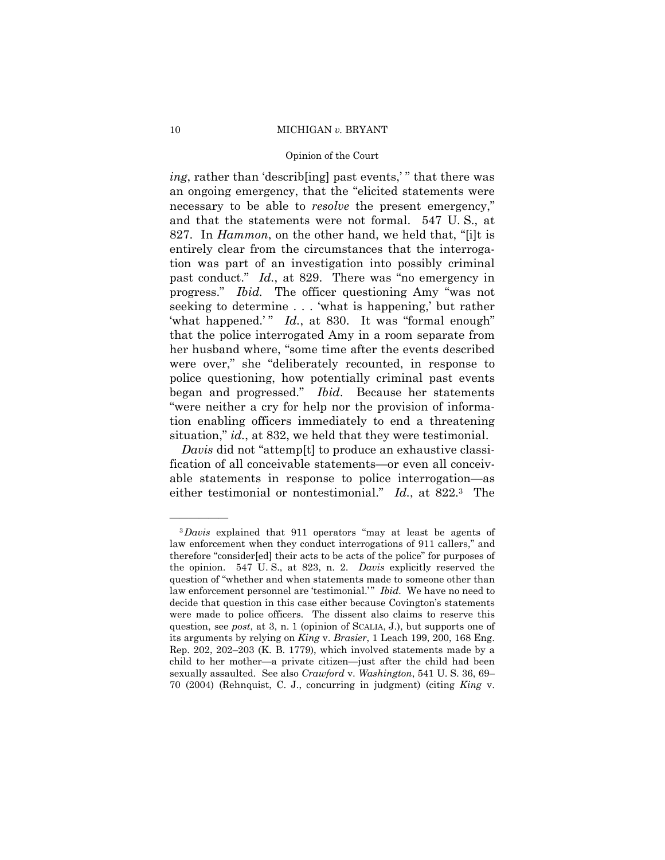### Opinion of the Court

*ing*, rather than 'describling] past events,' " that there was an ongoing emergency, that the "elicited statements were necessary to be able to *resolve* the present emergency," and that the statements were not formal. 547 U. S., at 827. In *Hammon*, on the other hand, we held that, "[i]t is entirely clear from the circumstances that the interrogation was part of an investigation into possibly criminal past conduct." *Id.*, at 829. There was "no emergency in progress." *Ibid.* The officer questioning Amy "was not seeking to determine . . . 'what is happening,' but rather 'what happened.'" *Id.*, at 830. It was "formal enough" that the police interrogated Amy in a room separate from her husband where, "some time after the events described were over," she "deliberately recounted, in response to police questioning, how potentially criminal past events began and progressed." *Ibid*. Because her statements "were neither a cry for help nor the provision of information enabling officers immediately to end a threatening situation," *id.*, at 832, we held that they were testimonial.

*Davis* did not "attemp[t] to produce an exhaustive classification of all conceivable statements—or even all conceivable statements in response to police interrogation—as either testimonial or nontestimonial." *Id.*, at 822.3 The

<sup>3</sup>*Davis* explained that 911 operators "may at least be agents of law enforcement when they conduct interrogations of 911 callers," and therefore "consider[ed] their acts to be acts of the police" for purposes of the opinion. 547 U. S., at 823, n. 2. *Davis* explicitly reserved the question of "whether and when statements made to someone other than law enforcement personnel are 'testimonial.'" *Ibid*. We have no need to decide that question in this case either because Covington's statements were made to police officers. The dissent also claims to reserve this question, see *post*, at 3, n. 1 (opinion of SCALIA, J.), but supports one of its arguments by relying on *King* v. *Brasier*, 1 Leach 199, 200, 168 Eng. Rep. 202, 202–203 (K. B. 1779), which involved statements made by a child to her mother—a private citizen—just after the child had been sexually assaulted. See also *Crawford* v. *Washington*, 541 U. S. 36, 69– 70 (2004) (Rehnquist, C. J., concurring in judgment) (citing *King* v.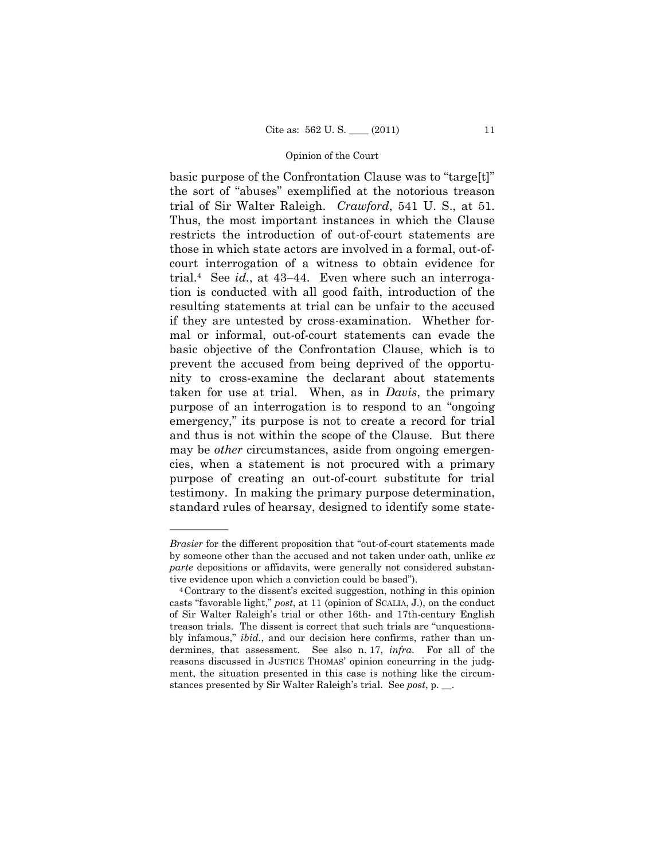basic purpose of the Confrontation Clause was to "targe<sup>[t]"</sup> the sort of "abuses" exemplified at the notorious treason trial of Sir Walter Raleigh. *Crawford*, 541 U. S., at 51. Thus, the most important instances in which the Clause restricts the introduction of out-of-court statements are those in which state actors are involved in a formal, out-ofcourt interrogation of a witness to obtain evidence for trial.4 See *id.*, at 43–44. Even where such an interrogation is conducted with all good faith, introduction of the resulting statements at trial can be unfair to the accused if they are untested by cross-examination. Whether formal or informal, out-of-court statements can evade the basic objective of the Confrontation Clause, which is to prevent the accused from being deprived of the opportunity to cross-examine the declarant about statements taken for use at trial. When, as in *Davis*, the primary purpose of an interrogation is to respond to an "ongoing emergency," its purpose is not to create a record for trial and thus is not within the scope of the Clause. But there may be *other* circumstances, aside from ongoing emergencies, when a statement is not procured with a primary purpose of creating an out-of-court substitute for trial testimony. In making the primary purpose determination, standard rules of hearsay, designed to identify some state-

*Brasier* for the different proposition that "out-of-court statements made by someone other than the accused and not taken under oath, unlike *ex parte* depositions or affidavits, were generally not considered substantive evidence upon which a conviction could be based"). 4Contrary to the dissent's excited suggestion, nothing in this opinion

casts "favorable light," *post*, at 11 (opinion of SCALIA, J.), on the conduct of Sir Walter Raleigh's trial or other 16th- and 17th-century English treason trials. The dissent is correct that such trials are "unquestionably infamous," *ibid.*, and our decision here confirms, rather than undermines, that assessment. See also n. 17, *infra*. For all of the reasons discussed in JUSTICE THOMAS' opinion concurring in the judgment, the situation presented in this case is nothing like the circumstances presented by Sir Walter Raleigh's trial. See *post*, p. \_\_.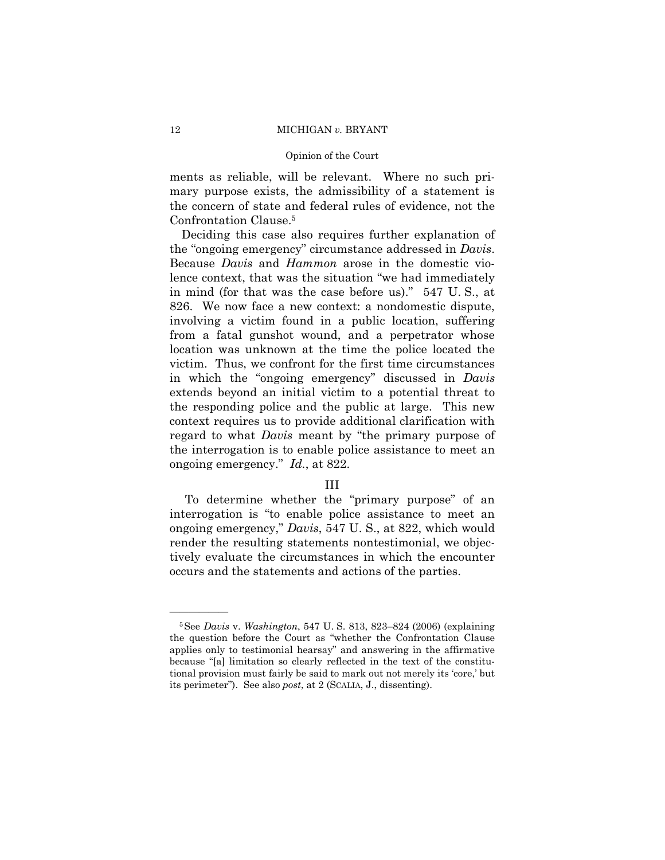#### Opinion of the Court

ments as reliable, will be relevant. Where no such primary purpose exists, the admissibility of a statement is the concern of state and federal rules of evidence, not the Confrontation Clause.5

Deciding this case also requires further explanation of the "ongoing emergency" circumstance addressed in *Davis*. Because *Davis* and *Hammon* arose in the domestic violence context, that was the situation "we had immediately in mind (for that was the case before us)." 547 U. S., at 826. We now face a new context: a nondomestic dispute, involving a victim found in a public location, suffering from a fatal gunshot wound, and a perpetrator whose location was unknown at the time the police located the victim. Thus, we confront for the first time circumstances in which the "ongoing emergency" discussed in *Davis*  extends beyond an initial victim to a potential threat to the responding police and the public at large. This new context requires us to provide additional clarification with regard to what *Davis* meant by "the primary purpose of the interrogation is to enable police assistance to meet an ongoing emergency." *Id.*, at 822.

### III

To determine whether the "primary purpose" of an interrogation is "to enable police assistance to meet an ongoing emergency," *Davis*, 547 U. S., at 822, which would render the resulting statements nontestimonial, we objectively evaluate the circumstances in which the encounter occurs and the statements and actions of the parties.

<sup>5</sup>See *Davis* v. *Washington*, 547 U. S. 813, 823–824 (2006) (explaining the question before the Court as "whether the Confrontation Clause applies only to testimonial hearsay" and answering in the affirmative because "[a] limitation so clearly reflected in the text of the constitutional provision must fairly be said to mark out not merely its 'core,' but its perimeter"). See also *post*, at 2 (SCALIA, J., dissenting).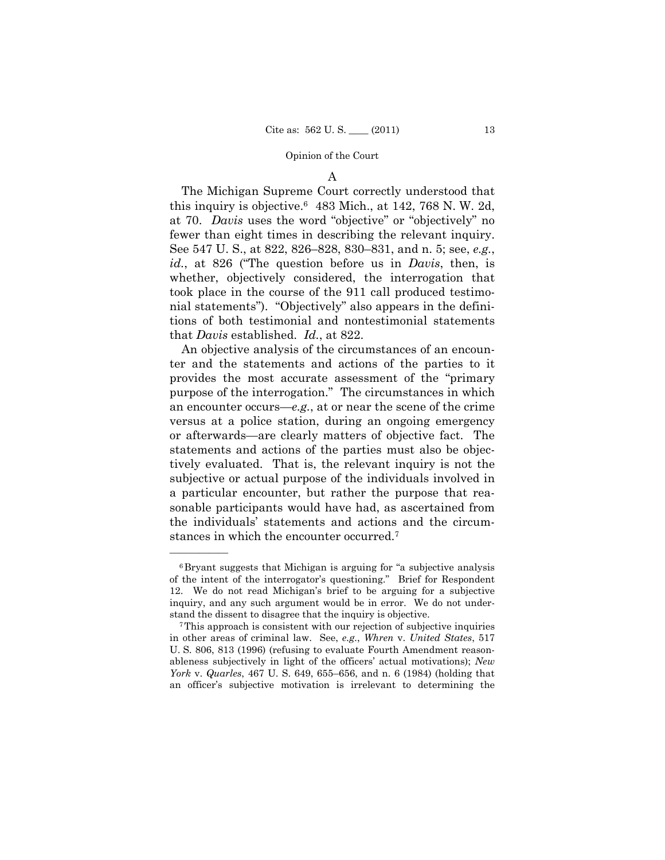#### A

The Michigan Supreme Court correctly understood that this inquiry is objective.6 483 Mich., at 142, 768 N. W. 2d, at 70. *Davis* uses the word "objective" or "objectively" no fewer than eight times in describing the relevant inquiry. See 547 U. S., at 822, 826–828, 830–831, and n. 5; see, *e.g.*, *id.*, at 826 ("The question before us in *Davis*, then, is whether, objectively considered, the interrogation that took place in the course of the 911 call produced testimonial statements"). "Objectively" also appears in the definitions of both testimonial and nontestimonial statements that *Davis* established. *Id.*, at 822.

An objective analysis of the circumstances of an encounter and the statements and actions of the parties to it provides the most accurate assessment of the "primary purpose of the interrogation." The circumstances in which an encounter occurs—*e.g.*, at or near the scene of the crime versus at a police station, during an ongoing emergency or afterwards—are clearly matters of objective fact. The statements and actions of the parties must also be objectively evaluated. That is, the relevant inquiry is not the subjective or actual purpose of the individuals involved in a particular encounter, but rather the purpose that reasonable participants would have had, as ascertained from the individuals' statements and actions and the circumstances in which the encounter occurred.7

<sup>6</sup>Bryant suggests that Michigan is arguing for "a subjective analysis of the intent of the interrogator's questioning." Brief for Respondent 12. We do not read Michigan's brief to be arguing for a subjective inquiry, and any such argument would be in error. We do not under-

stand the dissent to disagree that the inquiry is objective. 7This approach is consistent with our rejection of subjective inquiries in other areas of criminal law. See, *e.g.*, *Whren* v. *United States*, 517 U. S. 806, 813 (1996) (refusing to evaluate Fourth Amendment reasonableness subjectively in light of the officers' actual motivations); *New York* v. *Quarles*, 467 U. S. 649, 655–656, and n. 6 (1984) (holding that an officer's subjective motivation is irrelevant to determining the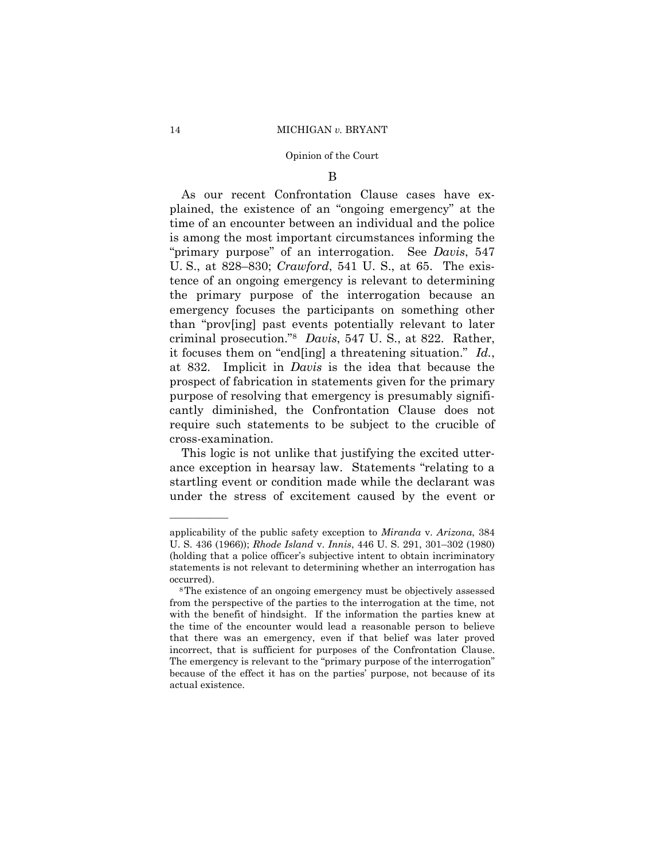### B

As our recent Confrontation Clause cases have explained, the existence of an "ongoing emergency" at the time of an encounter between an individual and the police is among the most important circumstances informing the "primary purpose" of an interrogation. See *Davis*, 547 U. S., at 828–830; *Crawford*, 541 U. S., at 65. The existence of an ongoing emergency is relevant to determining the primary purpose of the interrogation because an emergency focuses the participants on something other than "prov[ing] past events potentially relevant to later criminal prosecution."8 *Davis*, 547 U. S., at 822. Rather, it focuses them on "end[ing] a threatening situation." *Id.*, at 832. Implicit in *Davis* is the idea that because the prospect of fabrication in statements given for the primary purpose of resolving that emergency is presumably significantly diminished, the Confrontation Clause does not require such statements to be subject to the crucible of cross-examination.

This logic is not unlike that justifying the excited utterance exception in hearsay law. Statements "relating to a startling event or condition made while the declarant was under the stress of excitement caused by the event or

applicability of the public safety exception to *Miranda* v. *Arizona*, 384 U. S. 436 (1966)); *Rhode Island* v. *Innis*, 446 U. S. 291, 301–302 (1980) (holding that a police officer's subjective intent to obtain incriminatory statements is not relevant to determining whether an interrogation has occurred). 8The existence of an ongoing emergency must be objectively assessed

from the perspective of the parties to the interrogation at the time, not with the benefit of hindsight. If the information the parties knew at the time of the encounter would lead a reasonable person to believe that there was an emergency, even if that belief was later proved incorrect, that is sufficient for purposes of the Confrontation Clause. The emergency is relevant to the "primary purpose of the interrogation" because of the effect it has on the parties' purpose, not because of its actual existence.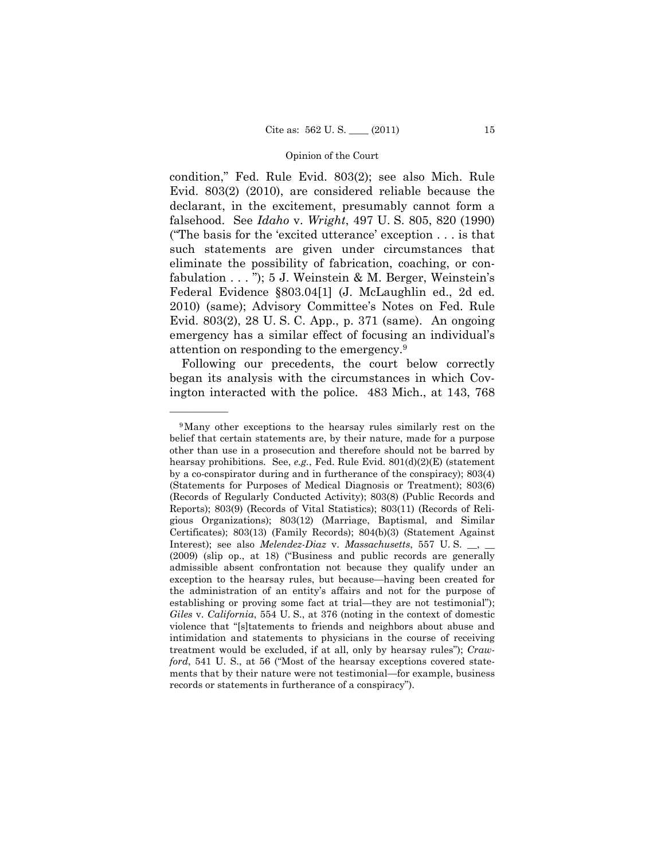condition," Fed. Rule Evid. 803(2); see also Mich. Rule Evid. 803(2) (2010), are considered reliable because the declarant, in the excitement, presumably cannot form a falsehood. See *Idaho* v. *Wright*, 497 U. S. 805, 820 (1990) ("The basis for the 'excited utterance' exception . . . is that such statements are given under circumstances that eliminate the possibility of fabrication, coaching, or confabulation . . . "); 5 J. Weinstein & M. Berger, Weinstein's Federal Evidence §803.04[1] (J. McLaughlin ed., 2d ed. 2010) (same); Advisory Committee's Notes on Fed. Rule Evid. 803(2), 28 U. S. C. App., p. 371 (same). An ongoing emergency has a similar effect of focusing an individual's attention on responding to the emergency.9

Following our precedents, the court below correctly began its analysis with the circumstances in which Covington interacted with the police. 483 Mich., at 143, 768

<sup>9</sup>Many other exceptions to the hearsay rules similarly rest on the belief that certain statements are, by their nature, made for a purpose other than use in a prosecution and therefore should not be barred by hearsay prohibitions. See, *e.g.*, Fed. Rule Evid. 801(d)(2)(E) (statement by a co-conspirator during and in furtherance of the conspiracy); 803(4) (Statements for Purposes of Medical Diagnosis or Treatment); 803(6) (Records of Regularly Conducted Activity); 803(8) (Public Records and Reports); 803(9) (Records of Vital Statistics); 803(11) (Records of Religious Organizations); 803(12) (Marriage, Baptismal, and Similar Certificates); 803(13) (Family Records); 804(b)(3) (Statement Against Interest); see also *Melendez-Diaz* v. *Massachusetts*, 557 U.S. \_\_, \_\_ (2009) (slip op., at 18) ("Business and public records are generally admissible absent confrontation not because they qualify under an exception to the hearsay rules, but because—having been created for the administration of an entity's affairs and not for the purpose of establishing or proving some fact at trial—they are not testimonial"); *Giles* v. *California*, 554 U. S., at 376 (noting in the context of domestic violence that "[s]tatements to friends and neighbors about abuse and intimidation and statements to physicians in the course of receiving treatment would be excluded, if at all, only by hearsay rules"); *Crawford*, 541 U. S., at 56 ("Most of the hearsay exceptions covered statements that by their nature were not testimonial—for example, business records or statements in furtherance of a conspiracy").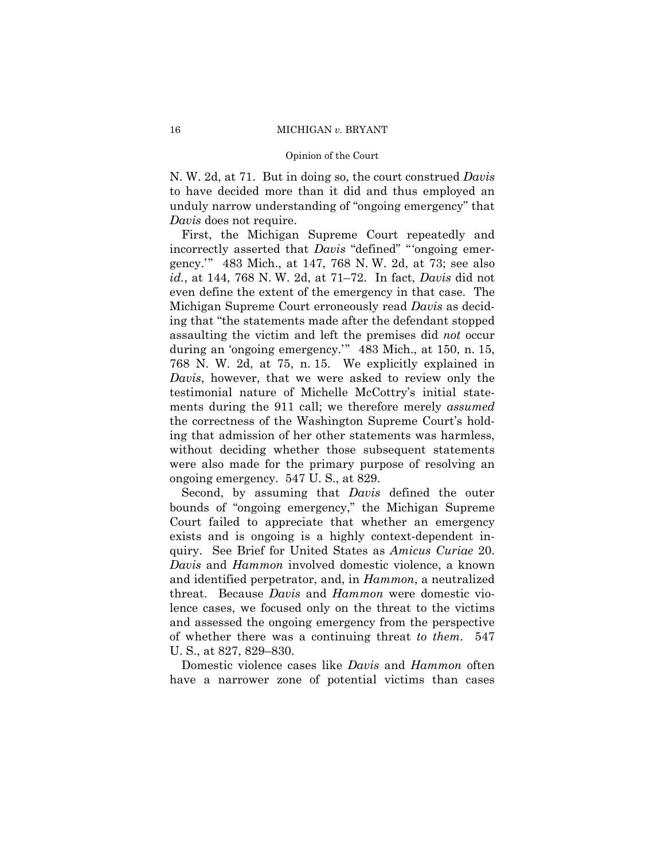#### Opinion of the Court

N. W. 2d, at 71. But in doing so, the court construed *Davis*  to have decided more than it did and thus employed an unduly narrow understanding of "ongoing emergency" that *Davis* does not require.

First, the Michigan Supreme Court repeatedly and incorrectly asserted that *Davis* "defined" "'ongoing emergency.'" 483 Mich., at 147, 768 N. W. 2d, at 73; see also *id.*, at 144, 768 N. W. 2d, at 71–72. In fact, *Davis* did not even define the extent of the emergency in that case. The Michigan Supreme Court erroneously read *Davis* as deciding that "the statements made after the defendant stopped assaulting the victim and left the premises did *not* occur during an 'ongoing emergency.'" 483 Mich., at 150, n. 15, 768 N. W. 2d, at 75, n. 15. We explicitly explained in *Davis*, however, that we were asked to review only the testimonial nature of Michelle McCottry's initial statements during the 911 call; we therefore merely *assumed*  the correctness of the Washington Supreme Court's holding that admission of her other statements was harmless, without deciding whether those subsequent statements were also made for the primary purpose of resolving an ongoing emergency. 547 U. S., at 829.

Second, by assuming that *Davis* defined the outer bounds of "ongoing emergency," the Michigan Supreme Court failed to appreciate that whether an emergency exists and is ongoing is a highly context-dependent inquiry. See Brief for United States as *Amicus Curiae* 20. *Davis* and *Hammon* involved domestic violence, a known and identified perpetrator, and, in *Hammon*, a neutralized threat. Because *Davis* and *Hammon* were domestic violence cases, we focused only on the threat to the victims and assessed the ongoing emergency from the perspective of whether there was a continuing threat *to them*. 547 U. S., at 827, 829–830.

Domestic violence cases like *Davis* and *Hammon* often have a narrower zone of potential victims than cases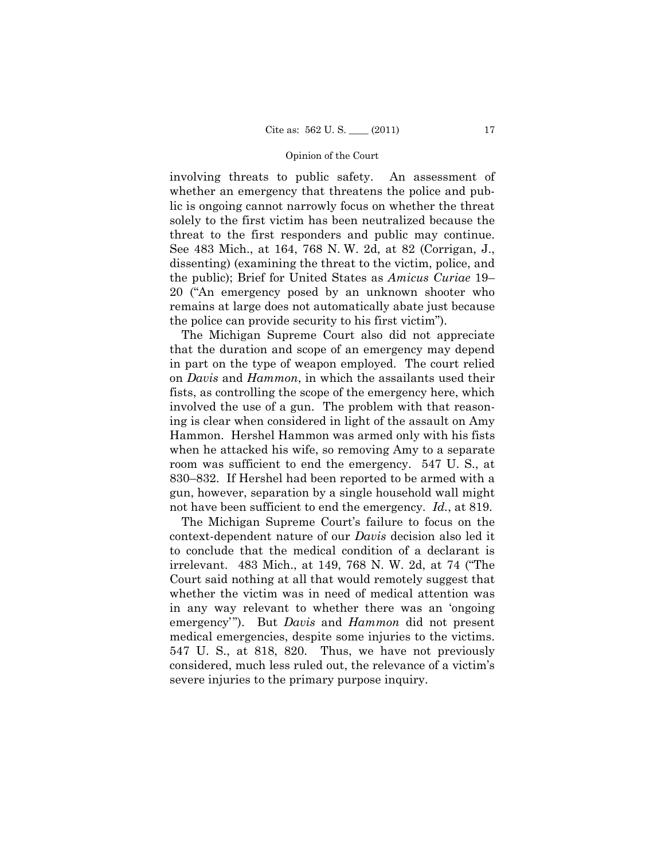involving threats to public safety. An assessment of whether an emergency that threatens the police and public is ongoing cannot narrowly focus on whether the threat solely to the first victim has been neutralized because the threat to the first responders and public may continue. See 483 Mich., at 164, 768 N. W. 2d, at 82 (Corrigan, J., dissenting) (examining the threat to the victim, police, and the public); Brief for United States as *Amicus Curiae* 19– 20 ("An emergency posed by an unknown shooter who remains at large does not automatically abate just because the police can provide security to his first victim").

The Michigan Supreme Court also did not appreciate that the duration and scope of an emergency may depend in part on the type of weapon employed. The court relied on *Davis* and *Hammon*, in which the assailants used their fists, as controlling the scope of the emergency here, which involved the use of a gun. The problem with that reasoning is clear when considered in light of the assault on Amy Hammon. Hershel Hammon was armed only with his fists when he attacked his wife, so removing Amy to a separate room was sufficient to end the emergency. 547 U. S., at 830–832. If Hershel had been reported to be armed with a gun, however, separation by a single household wall might not have been sufficient to end the emergency. *Id.*, at 819.

The Michigan Supreme Court's failure to focus on the context-dependent nature of our *Davis* decision also led it to conclude that the medical condition of a declarant is irrelevant. 483 Mich., at 149, 768 N. W. 2d, at 74 ("The Court said nothing at all that would remotely suggest that whether the victim was in need of medical attention was in any way relevant to whether there was an 'ongoing emergency'"). But *Davis* and *Hammon* did not present medical emergencies, despite some injuries to the victims. 547 U. S., at 818, 820. Thus, we have not previously considered, much less ruled out, the relevance of a victim's severe injuries to the primary purpose inquiry.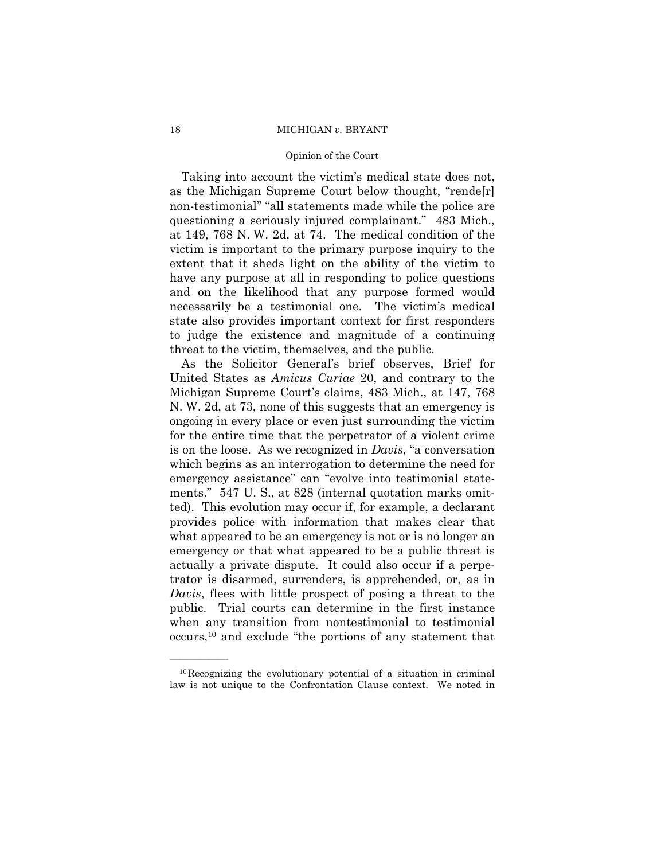#### Opinion of the Court

Taking into account the victim's medical state does not, as the Michigan Supreme Court below thought, "rende[r] non-testimonial" "all statements made while the police are questioning a seriously injured complainant." 483 Mich., at 149, 768 N. W. 2d, at 74. The medical condition of the victim is important to the primary purpose inquiry to the extent that it sheds light on the ability of the victim to have any purpose at all in responding to police questions and on the likelihood that any purpose formed would necessarily be a testimonial one. The victim's medical state also provides important context for first responders to judge the existence and magnitude of a continuing threat to the victim, themselves, and the public.

As the Solicitor General's brief observes, Brief for United States as *Amicus Curiae* 20, and contrary to the Michigan Supreme Court's claims, 483 Mich., at 147, 768 N. W. 2d, at 73, none of this suggests that an emergency is ongoing in every place or even just surrounding the victim for the entire time that the perpetrator of a violent crime is on the loose. As we recognized in *Davis*, "a conversation which begins as an interrogation to determine the need for emergency assistance" can "evolve into testimonial statements." 547 U. S., at 828 (internal quotation marks omitted). This evolution may occur if, for example, a declarant provides police with information that makes clear that what appeared to be an emergency is not or is no longer an emergency or that what appeared to be a public threat is actually a private dispute. It could also occur if a perpetrator is disarmed, surrenders, is apprehended, or, as in *Davis*, flees with little prospect of posing a threat to the public. Trial courts can determine in the first instance when any transition from nontestimonial to testimonial occurs,10 and exclude "the portions of any statement that

<sup>10</sup>Recognizing the evolutionary potential of a situation in criminal law is not unique to the Confrontation Clause context. We noted in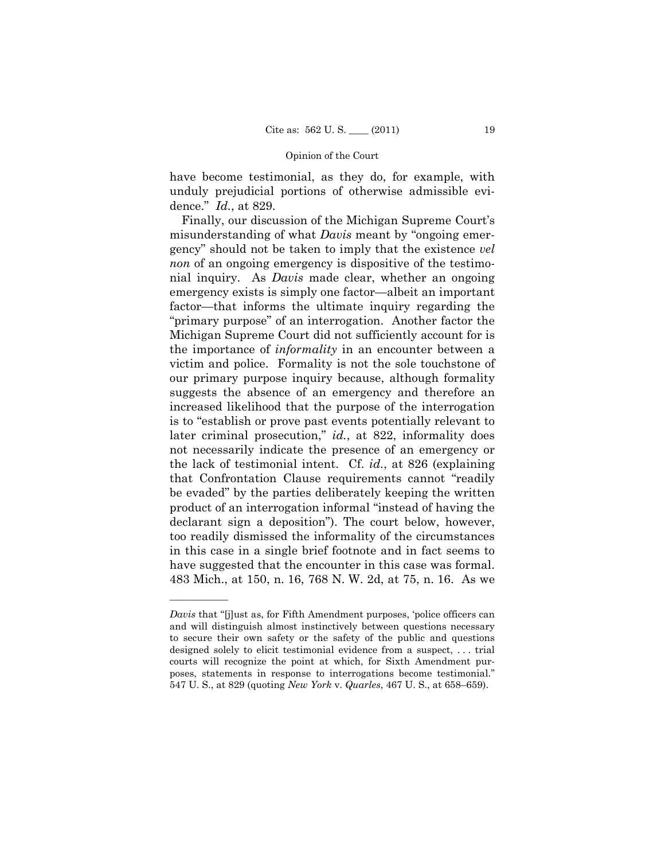have become testimonial, as they do, for example, with unduly prejudicial portions of otherwise admissible evidence." *Id.*, at 829.

Finally, our discussion of the Michigan Supreme Court's misunderstanding of what *Davis* meant by "ongoing emergency" should not be taken to imply that the existence *vel non* of an ongoing emergency is dispositive of the testimonial inquiry. As *Davis* made clear, whether an ongoing emergency exists is simply one factor—albeit an important factor—that informs the ultimate inquiry regarding the "primary purpose" of an interrogation. Another factor the Michigan Supreme Court did not sufficiently account for is the importance of *informality* in an encounter between a victim and police. Formality is not the sole touchstone of our primary purpose inquiry because, although formality suggests the absence of an emergency and therefore an increased likelihood that the purpose of the interrogation is to "establish or prove past events potentially relevant to later criminal prosecution," *id.*, at 822, informality does not necessarily indicate the presence of an emergency or the lack of testimonial intent. Cf. *id.*, at 826 (explaining that Confrontation Clause requirements cannot "readily be evaded" by the parties deliberately keeping the written product of an interrogation informal "instead of having the declarant sign a deposition"). The court below, however, too readily dismissed the informality of the circumstances in this case in a single brief footnote and in fact seems to have suggested that the encounter in this case was formal. 483 Mich., at 150, n. 16, 768 N. W. 2d, at 75, n. 16. As we

*Davis* that "[j]ust as, for Fifth Amendment purposes, 'police officers can and will distinguish almost instinctively between questions necessary to secure their own safety or the safety of the public and questions designed solely to elicit testimonial evidence from a suspect, . . . trial courts will recognize the point at which, for Sixth Amendment purposes, statements in response to interrogations become testimonial." 547 U. S., at 829 (quoting *New York* v. *Quarles*, 467 U. S., at 658–659).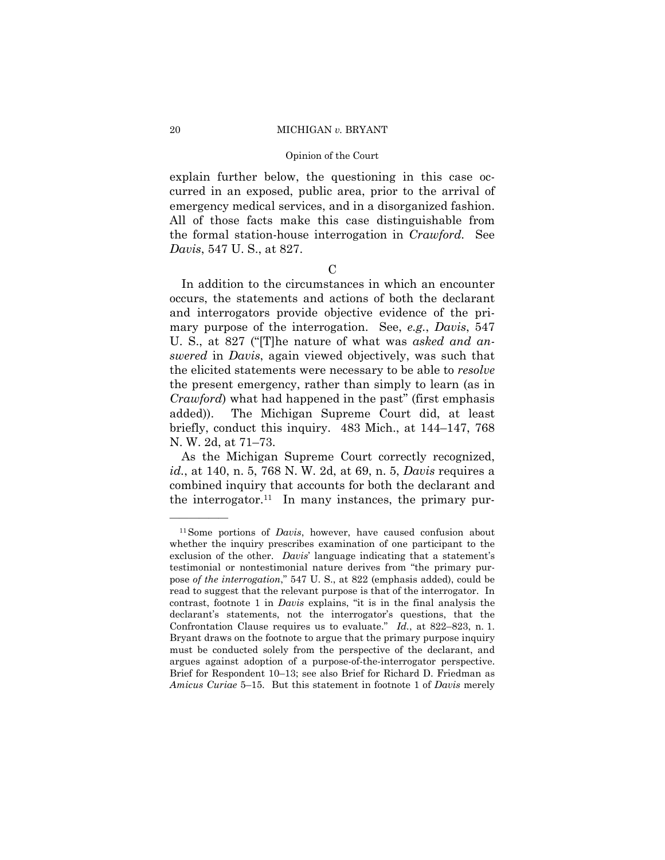#### Opinion of the Court

explain further below, the questioning in this case occurred in an exposed, public area, prior to the arrival of emergency medical services, and in a disorganized fashion. All of those facts make this case distinguishable from the formal station-house interrogation in *Crawford.* See *Davis*, 547 U. S., at 827.

 $\mathcal{C}$ 

In addition to the circumstances in which an encounter occurs, the statements and actions of both the declarant and interrogators provide objective evidence of the primary purpose of the interrogation. See, *e.g.*, *Davis*, 547 U. S., at 827 ("[T]he nature of what was *asked and answered* in *Davis*, again viewed objectively, was such that the elicited statements were necessary to be able to *resolve*  the present emergency, rather than simply to learn (as in *Crawford*) what had happened in the past" (first emphasis added)). The Michigan Supreme Court did, at least briefly, conduct this inquiry. 483 Mich., at 144–147, 768 N. W. 2d, at 71–73.

As the Michigan Supreme Court correctly recognized, *id.*, at 140, n. 5, 768 N. W. 2d, at 69, n. 5, *Davis* requires a combined inquiry that accounts for both the declarant and the interrogator.<sup>11</sup> In many instances, the primary pur-

<sup>11</sup>Some portions of *Davis*, however, have caused confusion about whether the inquiry prescribes examination of one participant to the exclusion of the other. *Davis*' language indicating that a statement's testimonial or nontestimonial nature derives from "the primary purpose *of the interrogation*," 547 U. S., at 822 (emphasis added), could be read to suggest that the relevant purpose is that of the interrogator. In contrast, footnote 1 in *Davis* explains, "it is in the final analysis the declarant's statements, not the interrogator's questions, that the Confrontation Clause requires us to evaluate." *Id.*, at 822–823, n. 1. Bryant draws on the footnote to argue that the primary purpose inquiry must be conducted solely from the perspective of the declarant, and argues against adoption of a purpose-of-the-interrogator perspective. Brief for Respondent 10–13; see also Brief for Richard D. Friedman as *Amicus Curiae* 5–15. But this statement in footnote 1 of *Davis* merely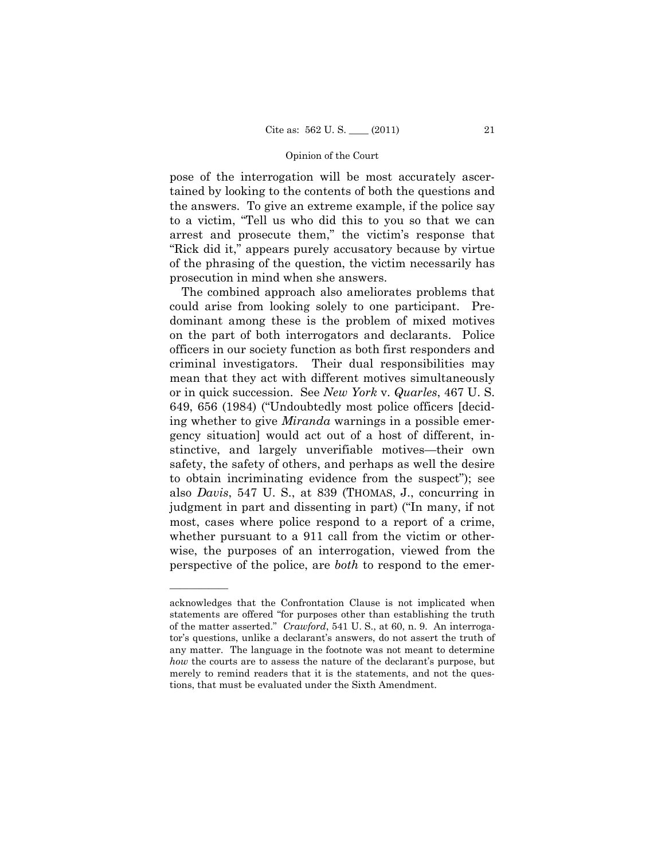pose of the interrogation will be most accurately ascertained by looking to the contents of both the questions and the answers. To give an extreme example, if the police say to a victim, "Tell us who did this to you so that we can arrest and prosecute them," the victim's response that "Rick did it," appears purely accusatory because by virtue of the phrasing of the question, the victim necessarily has prosecution in mind when she answers.

The combined approach also ameliorates problems that could arise from looking solely to one participant. Predominant among these is the problem of mixed motives on the part of both interrogators and declarants. Police officers in our society function as both first responders and criminal investigators. Their dual responsibilities may mean that they act with different motives simultaneously or in quick succession. See *New York* v. *Quarles*, 467 U. S. 649, 656 (1984) ("Undoubtedly most police officers [deciding whether to give *Miranda* warnings in a possible emergency situation] would act out of a host of different, instinctive, and largely unverifiable motives—their own safety, the safety of others, and perhaps as well the desire to obtain incriminating evidence from the suspect"); see also *Davis*, 547 U. S., at 839 (THOMAS, J., concurring in judgment in part and dissenting in part) ("In many, if not most, cases where police respond to a report of a crime, whether pursuant to a 911 call from the victim or otherwise, the purposes of an interrogation, viewed from the perspective of the police, are *both* to respond to the emer-

acknowledges that the Confrontation Clause is not implicated when statements are offered "for purposes other than establishing the truth of the matter asserted." *Crawford*, 541 U. S., at 60, n. 9. An interrogator's questions, unlike a declarant's answers, do not assert the truth of any matter. The language in the footnote was not meant to determine *how* the courts are to assess the nature of the declarant's purpose, but merely to remind readers that it is the statements, and not the questions, that must be evaluated under the Sixth Amendment.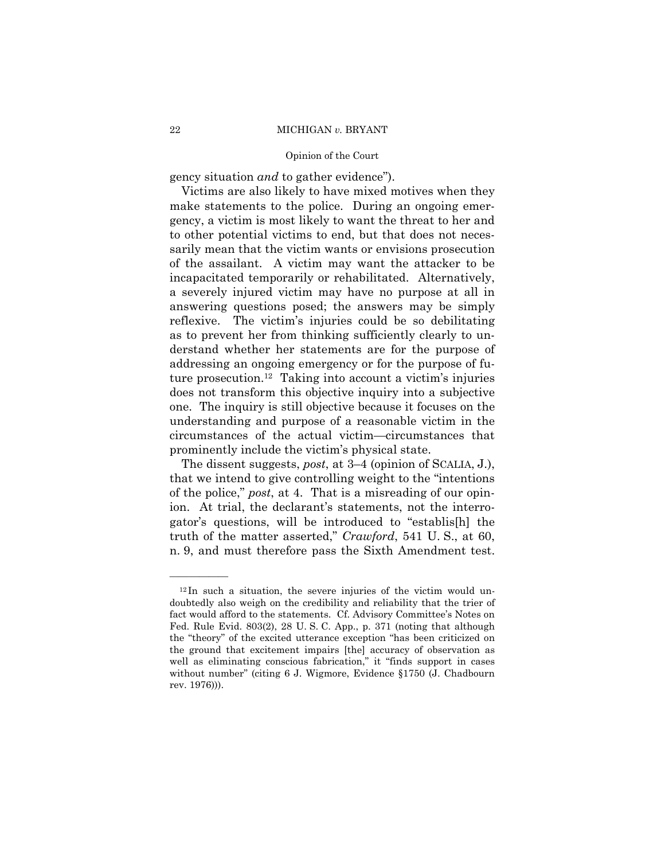### Opinion of the Court

gency situation *and* to gather evidence").

Victims are also likely to have mixed motives when they make statements to the police. During an ongoing emergency, a victim is most likely to want the threat to her and to other potential victims to end, but that does not necessarily mean that the victim wants or envisions prosecution of the assailant. A victim may want the attacker to be incapacitated temporarily or rehabilitated. Alternatively, a severely injured victim may have no purpose at all in answering questions posed; the answers may be simply reflexive. The victim's injuries could be so debilitating as to prevent her from thinking sufficiently clearly to understand whether her statements are for the purpose of addressing an ongoing emergency or for the purpose of future prosecution.12 Taking into account a victim's injuries does not transform this objective inquiry into a subjective one. The inquiry is still objective because it focuses on the understanding and purpose of a reasonable victim in the circumstances of the actual victim—circumstances that prominently include the victim's physical state.

The dissent suggests, *post*, at 3–4 (opinion of SCALIA, J.), that we intend to give controlling weight to the "intentions of the police," *post*, at 4. That is a misreading of our opinion. At trial, the declarant's statements, not the interrogator's questions, will be introduced to "establis[h] the truth of the matter asserted," *Crawford*, 541 U. S., at 60, n. 9, and must therefore pass the Sixth Amendment test.

 $12$  In such a situation, the severe injuries of the victim would undoubtedly also weigh on the credibility and reliability that the trier of fact would afford to the statements. Cf. Advisory Committee's Notes on Fed. Rule Evid. 803(2), 28 U. S. C. App., p. 371 (noting that although the "theory" of the excited utterance exception "has been criticized on the ground that excitement impairs [the] accuracy of observation as well as eliminating conscious fabrication," it "finds support in cases without number" (citing 6 J. Wigmore, Evidence §1750 (J. Chadbourn rev. 1976))).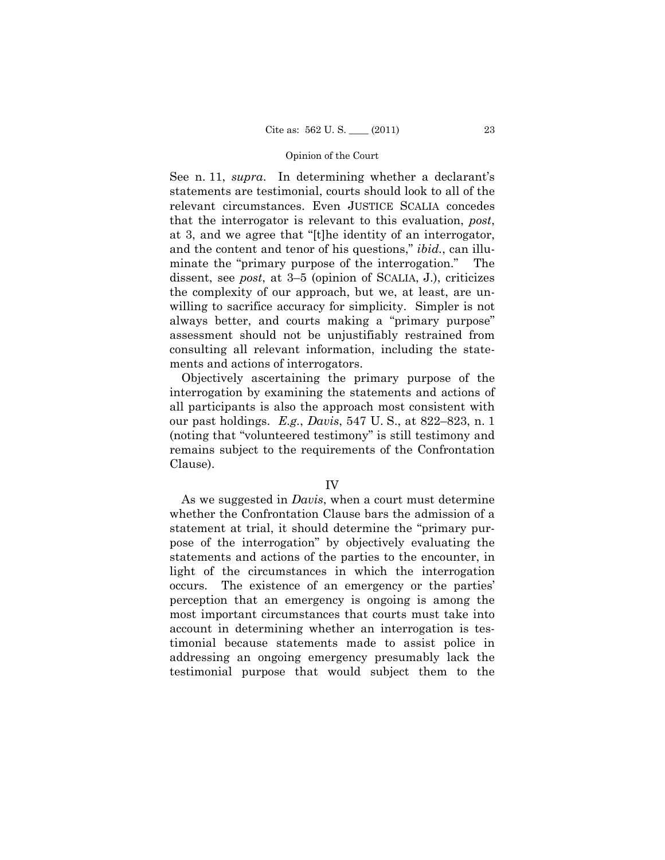See n. 11, *supra*. In determining whether a declarant's statements are testimonial, courts should look to all of the relevant circumstances. Even JUSTICE SCALIA concedes that the interrogator is relevant to this evaluation, *post*, at 3, and we agree that "[t]he identity of an interrogator, and the content and tenor of his questions," *ibid.*, can illuminate the "primary purpose of the interrogation." The dissent, see *post*, at 3–5 (opinion of SCALIA, J.), criticizes the complexity of our approach, but we, at least, are unwilling to sacrifice accuracy for simplicity. Simpler is not always better, and courts making a "primary purpose" assessment should not be unjustifiably restrained from consulting all relevant information, including the statements and actions of interrogators.

Objectively ascertaining the primary purpose of the interrogation by examining the statements and actions of all participants is also the approach most consistent with our past holdings. *E.g.*, *Davis*, 547 U. S., at 822–823, n. 1 (noting that "volunteered testimony" is still testimony and remains subject to the requirements of the Confrontation Clause).

### IV

As we suggested in *Davis*, when a court must determine whether the Confrontation Clause bars the admission of a statement at trial, it should determine the "primary purpose of the interrogation" by objectively evaluating the statements and actions of the parties to the encounter, in light of the circumstances in which the interrogation occurs. The existence of an emergency or the parties' perception that an emergency is ongoing is among the most important circumstances that courts must take into account in determining whether an interrogation is testimonial because statements made to assist police in addressing an ongoing emergency presumably lack the testimonial purpose that would subject them to the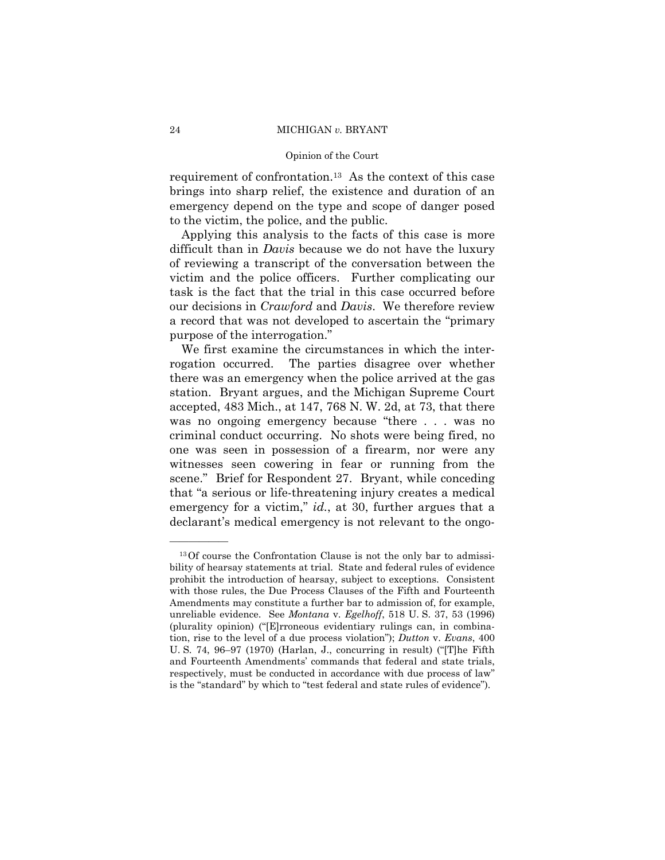### Opinion of the Court

requirement of confrontation.13 As the context of this case brings into sharp relief, the existence and duration of an emergency depend on the type and scope of danger posed to the victim, the police, and the public.

Applying this analysis to the facts of this case is more difficult than in *Davis* because we do not have the luxury of reviewing a transcript of the conversation between the victim and the police officers. Further complicating our task is the fact that the trial in this case occurred before our decisions in *Crawford* and *Davis*. We therefore review a record that was not developed to ascertain the "primary purpose of the interrogation."

We first examine the circumstances in which the interrogation occurred. The parties disagree over whether there was an emergency when the police arrived at the gas station. Bryant argues, and the Michigan Supreme Court accepted, 483 Mich., at 147, 768 N. W. 2d, at 73, that there was no ongoing emergency because "there . . . was no criminal conduct occurring. No shots were being fired, no one was seen in possession of a firearm, nor were any witnesses seen cowering in fear or running from the scene." Brief for Respondent 27. Bryant, while conceding that "a serious or life-threatening injury creates a medical emergency for a victim," *id.*, at 30, further argues that a declarant's medical emergency is not relevant to the ongo-

<sup>13</sup>Of course the Confrontation Clause is not the only bar to admissibility of hearsay statements at trial. State and federal rules of evidence prohibit the introduction of hearsay, subject to exceptions. Consistent with those rules, the Due Process Clauses of the Fifth and Fourteenth Amendments may constitute a further bar to admission of, for example, unreliable evidence. See *Montana* v. *Egelhoff*, 518 U. S. 37, 53 (1996) (plurality opinion) ("[E]rroneous evidentiary rulings can, in combination, rise to the level of a due process violation"); *Dutton* v. *Evans*, 400 U. S. 74, 96–97 (1970) (Harlan, J., concurring in result) ("[T]he Fifth and Fourteenth Amendments' commands that federal and state trials, respectively, must be conducted in accordance with due process of law" is the "standard" by which to "test federal and state rules of evidence").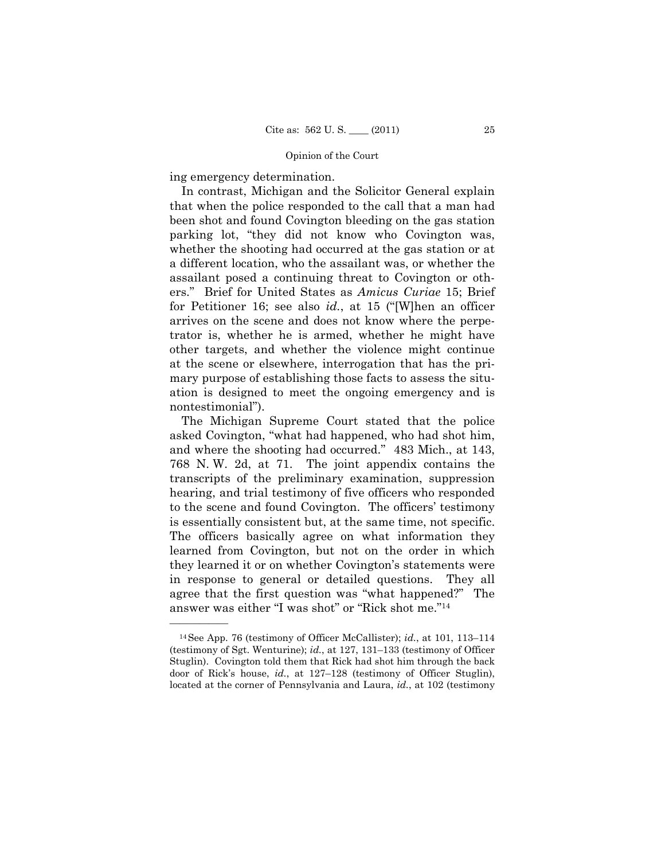ing emergency determination.

——————

In contrast, Michigan and the Solicitor General explain that when the police responded to the call that a man had been shot and found Covington bleeding on the gas station parking lot, "they did not know who Covington was, whether the shooting had occurred at the gas station or at a different location, who the assailant was, or whether the assailant posed a continuing threat to Covington or others." Brief for United States as *Amicus Curiae* 15; Brief for Petitioner 16; see also *id.*, at 15 ("[W]hen an officer arrives on the scene and does not know where the perpetrator is, whether he is armed, whether he might have other targets, and whether the violence might continue at the scene or elsewhere, interrogation that has the primary purpose of establishing those facts to assess the situation is designed to meet the ongoing emergency and is nontestimonial").

The Michigan Supreme Court stated that the police asked Covington, "what had happened, who had shot him, and where the shooting had occurred." 483 Mich., at 143, 768 N. W. 2d, at 71. The joint appendix contains the transcripts of the preliminary examination, suppression hearing, and trial testimony of five officers who responded to the scene and found Covington. The officers' testimony is essentially consistent but, at the same time, not specific. The officers basically agree on what information they learned from Covington, but not on the order in which they learned it or on whether Covington's statements were in response to general or detailed questions. They all agree that the first question was "what happened?" The answer was either "I was shot" or "Rick shot me."14

<sup>14</sup>See App. 76 (testimony of Officer McCallister); *id.*, at 101, 113–114 (testimony of Sgt. Wenturine); *id.*, at 127, 131–133 (testimony of Officer Stuglin). Covington told them that Rick had shot him through the back door of Rick's house, *id.*, at 127–128 (testimony of Officer Stuglin), located at the corner of Pennsylvania and Laura, *id.*, at 102 (testimony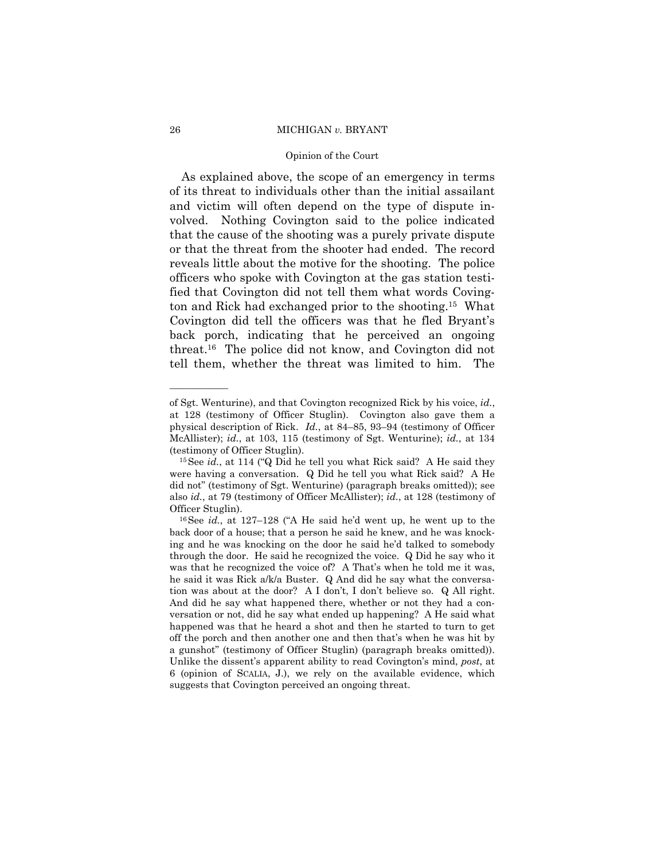#### Opinion of the Court

As explained above, the scope of an emergency in terms of its threat to individuals other than the initial assailant and victim will often depend on the type of dispute involved. Nothing Covington said to the police indicated that the cause of the shooting was a purely private dispute or that the threat from the shooter had ended. The record reveals little about the motive for the shooting. The police officers who spoke with Covington at the gas station testified that Covington did not tell them what words Covington and Rick had exchanged prior to the shooting.15 What Covington did tell the officers was that he fled Bryant's back porch, indicating that he perceived an ongoing threat.16 The police did not know, and Covington did not tell them, whether the threat was limited to him. The

of Sgt. Wenturine), and that Covington recognized Rick by his voice, *id.*, at 128 (testimony of Officer Stuglin). Covington also gave them a physical description of Rick. *Id.*, at 84–85, 93–94 (testimony of Officer McAllister); *id.*, at 103, 115 (testimony of Sgt. Wenturine); *id.*, at 134 (testimony of Officer Stuglin). 15See *id.*, at 114 ("Q Did he tell you what Rick said? A He said they

were having a conversation. Q Did he tell you what Rick said? A He did not" (testimony of Sgt. Wenturine) (paragraph breaks omitted)); see also *id.*, at 79 (testimony of Officer McAllister); *id.*, at 128 (testimony of Officer Stuglin). 16See *id.*, at 127–128 ("A He said he'd went up, he went up to the

back door of a house; that a person he said he knew, and he was knocking and he was knocking on the door he said he'd talked to somebody through the door. He said he recognized the voice. Q Did he say who it was that he recognized the voice of? A That's when he told me it was, he said it was Rick a/k/a Buster. Q And did he say what the conversation was about at the door? A I don't, I don't believe so. Q All right. And did he say what happened there, whether or not they had a conversation or not, did he say what ended up happening? A He said what happened was that he heard a shot and then he started to turn to get off the porch and then another one and then that's when he was hit by a gunshot" (testimony of Officer Stuglin) (paragraph breaks omitted)). Unlike the dissent's apparent ability to read Covington's mind, *post*, at 6 (opinion of SCALIA, J.), we rely on the available evidence, which suggests that Covington perceived an ongoing threat.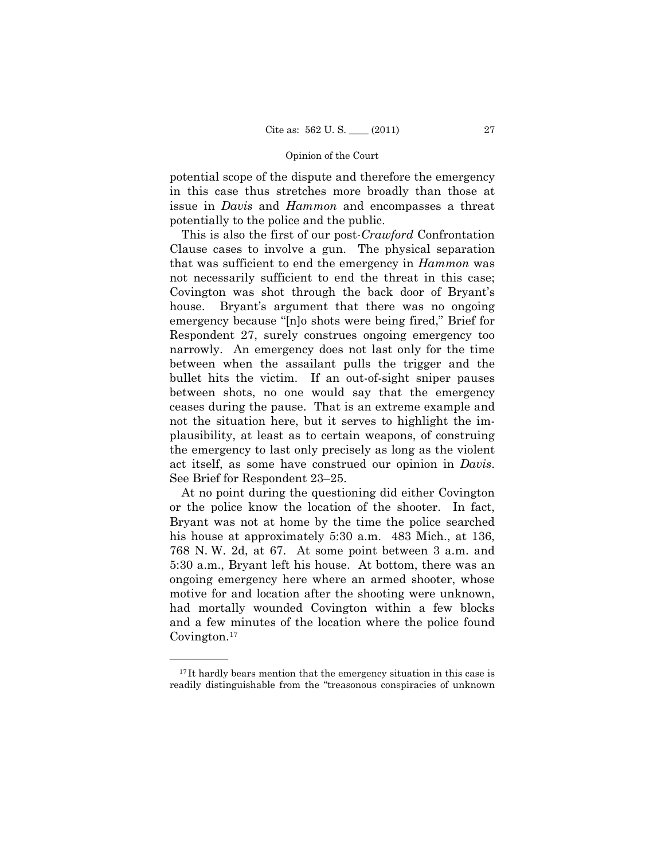potential scope of the dispute and therefore the emergency in this case thus stretches more broadly than those at issue in *Davis* and *Hammon* and encompasses a threat potentially to the police and the public.

This is also the first of our post-*Crawford* Confrontation Clause cases to involve a gun. The physical separation that was sufficient to end the emergency in *Hammon* was not necessarily sufficient to end the threat in this case; Covington was shot through the back door of Bryant's house. Bryant's argument that there was no ongoing emergency because "[n]o shots were being fired," Brief for Respondent 27, surely construes ongoing emergency too narrowly. An emergency does not last only for the time between when the assailant pulls the trigger and the bullet hits the victim. If an out-of-sight sniper pauses between shots, no one would say that the emergency ceases during the pause. That is an extreme example and not the situation here, but it serves to highlight the implausibility, at least as to certain weapons, of construing the emergency to last only precisely as long as the violent act itself, as some have construed our opinion in *Davis*. See Brief for Respondent 23–25.

At no point during the questioning did either Covington or the police know the location of the shooter. In fact, Bryant was not at home by the time the police searched his house at approximately 5:30 a.m. 483 Mich., at 136, 768 N. W. 2d, at 67. At some point between 3 a.m. and 5:30 a.m., Bryant left his house. At bottom, there was an ongoing emergency here where an armed shooter, whose motive for and location after the shooting were unknown, had mortally wounded Covington within a few blocks and a few minutes of the location where the police found Covington.17

<sup>&</sup>lt;sup>17</sup>It hardly bears mention that the emergency situation in this case is readily distinguishable from the "treasonous conspiracies of unknown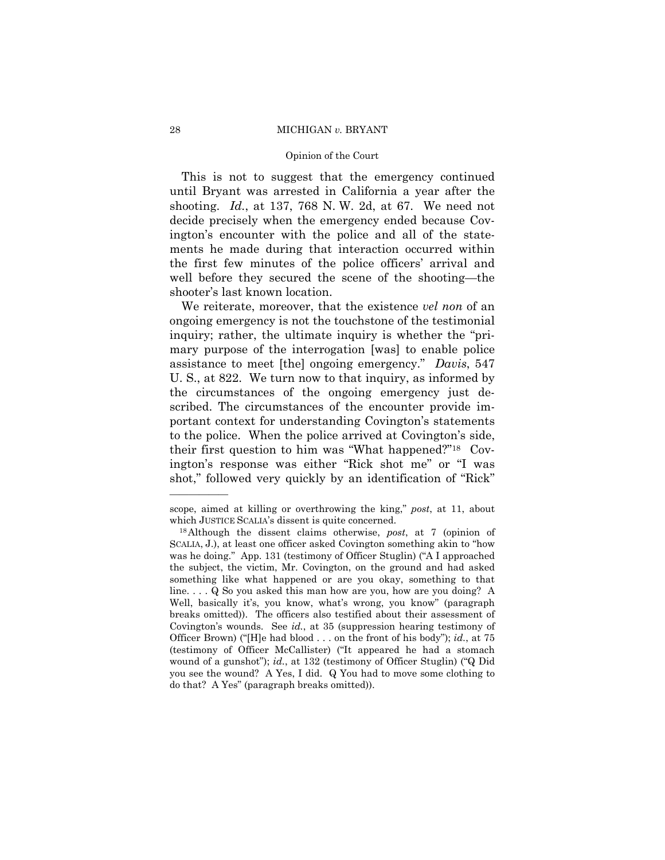#### Opinion of the Court

This is not to suggest that the emergency continued until Bryant was arrested in California a year after the shooting. *Id.*, at 137, 768 N. W. 2d, at 67. We need not decide precisely when the emergency ended because Covington's encounter with the police and all of the statements he made during that interaction occurred within the first few minutes of the police officers' arrival and well before they secured the scene of the shooting—the shooter's last known location.

We reiterate, moreover, that the existence *vel non* of an ongoing emergency is not the touchstone of the testimonial inquiry; rather, the ultimate inquiry is whether the "primary purpose of the interrogation [was] to enable police assistance to meet [the] ongoing emergency." *Davis*, 547 U. S., at 822. We turn now to that inquiry, as informed by the circumstances of the ongoing emergency just described. The circumstances of the encounter provide important context for understanding Covington's statements to the police. When the police arrived at Covington's side, their first question to him was "What happened?"18 Covington's response was either "Rick shot me" or "I was shot," followed very quickly by an identification of "Rick"

scope, aimed at killing or overthrowing the king," *post*, at 11, about which JUSTICE SCALIA's dissent is quite concerned. 18Although the dissent claims otherwise, *post*, at 7 (opinion of

SCALIA, J.), at least one officer asked Covington something akin to "how was he doing." App. 131 (testimony of Officer Stuglin) ("A I approached the subject, the victim, Mr. Covington, on the ground and had asked something like what happened or are you okay, something to that line. . . . Q So you asked this man how are you, how are you doing? A Well, basically it's, you know, what's wrong, you know" (paragraph breaks omitted)). The officers also testified about their assessment of Covington's wounds. See *id.*, at 35 (suppression hearing testimony of Officer Brown) ("[H]e had blood . . . on the front of his body"); *id.*, at 75 (testimony of Officer McCallister) ("It appeared he had a stomach wound of a gunshot"); *id.*, at 132 (testimony of Officer Stuglin) ("Q Did you see the wound? A Yes, I did. Q You had to move some clothing to do that? A Yes" (paragraph breaks omitted)).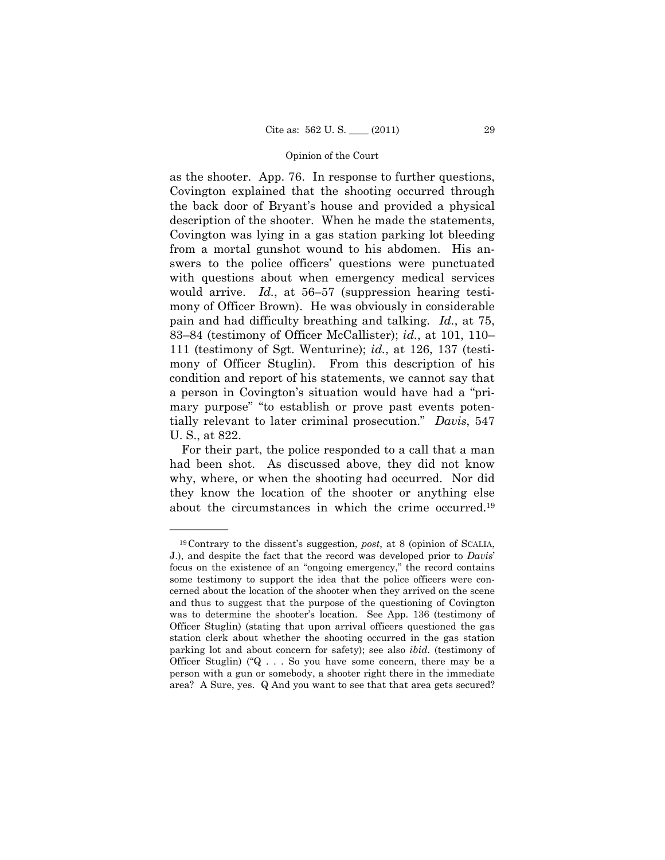as the shooter. App. 76. In response to further questions, Covington explained that the shooting occurred through the back door of Bryant's house and provided a physical description of the shooter. When he made the statements, Covington was lying in a gas station parking lot bleeding from a mortal gunshot wound to his abdomen. His answers to the police officers' questions were punctuated with questions about when emergency medical services would arrive. *Id.*, at 56–57 (suppression hearing testimony of Officer Brown). He was obviously in considerable pain and had difficulty breathing and talking. *Id.*, at 75, 83–84 (testimony of Officer McCallister); *id.*, at 101, 110– 111 (testimony of Sgt. Wenturine); *id.*, at 126, 137 (testimony of Officer Stuglin). From this description of his condition and report of his statements, we cannot say that a person in Covington's situation would have had a "primary purpose" "to establish or prove past events potentially relevant to later criminal prosecution." *Davis*, 547 U. S., at 822.

For their part, the police responded to a call that a man had been shot. As discussed above, they did not know why, where, or when the shooting had occurred. Nor did they know the location of the shooter or anything else about the circumstances in which the crime occurred.19

<sup>19</sup>Contrary to the dissent's suggestion, *post*, at 8 (opinion of SCALIA, J.), and despite the fact that the record was developed prior to *Davis*' focus on the existence of an "ongoing emergency," the record contains some testimony to support the idea that the police officers were concerned about the location of the shooter when they arrived on the scene and thus to suggest that the purpose of the questioning of Covington was to determine the shooter's location. See App. 136 (testimony of Officer Stuglin) (stating that upon arrival officers questioned the gas station clerk about whether the shooting occurred in the gas station parking lot and about concern for safety); see also *ibid.* (testimony of Officer Stuglin) ("Q . . . So you have some concern, there may be a person with a gun or somebody, a shooter right there in the immediate area? A Sure, yes. Q And you want to see that that area gets secured?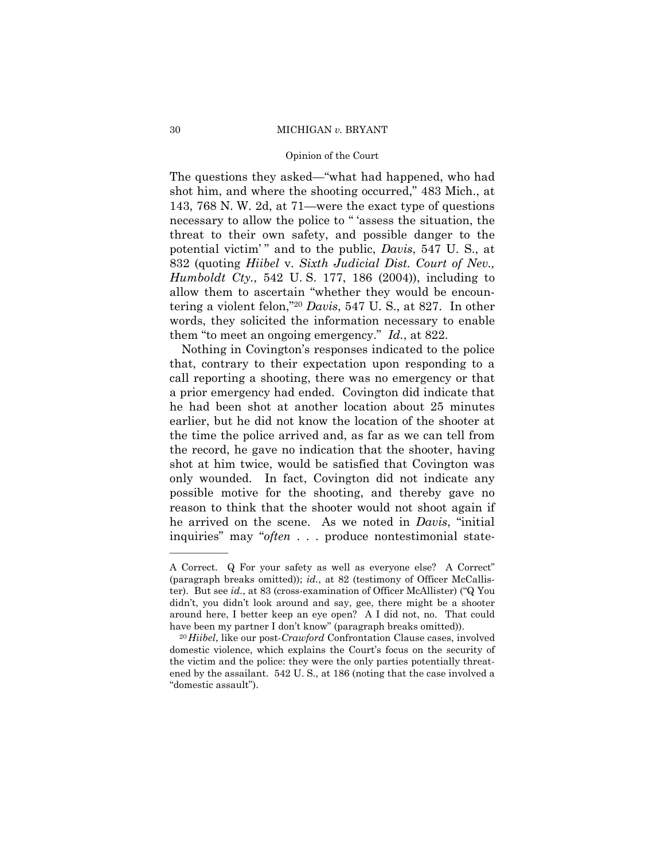#### Opinion of the Court

The questions they asked—"what had happened, who had shot him, and where the shooting occurred," 483 Mich., at 143, 768 N. W. 2d, at 71—were the exact type of questions necessary to allow the police to " 'assess the situation, the threat to their own safety, and possible danger to the potential victim' " and to the public, *Davis*, 547 U. S., at 832 (quoting *Hiibel* v. *Sixth Judicial Dist. Court of Nev., Humboldt Cty.*, 542 U. S. 177, 186 (2004)), including to allow them to ascertain "whether they would be encountering a violent felon,"20 *Davis*, 547 U. S., at 827. In other words, they solicited the information necessary to enable them "to meet an ongoing emergency." *Id.*, at 822.

Nothing in Covington's responses indicated to the police that, contrary to their expectation upon responding to a call reporting a shooting, there was no emergency or that a prior emergency had ended. Covington did indicate that he had been shot at another location about 25 minutes earlier, but he did not know the location of the shooter at the time the police arrived and, as far as we can tell from the record, he gave no indication that the shooter, having shot at him twice, would be satisfied that Covington was only wounded. In fact, Covington did not indicate any possible motive for the shooting, and thereby gave no reason to think that the shooter would not shoot again if he arrived on the scene. As we noted in *Davis*, "initial inquiries" may "*often* . . . produce nontestimonial state-

A Correct. Q For your safety as well as everyone else? A Correct" (paragraph breaks omitted)); *id.*, at 82 (testimony of Officer McCallister). But see *id.*, at 83 (cross-examination of Officer McAllister) ("Q You didn't, you didn't look around and say, gee, there might be a shooter around here, I better keep an eye open? A I did not, no. That could have been my partner I don't know" (paragraph breaks omitted)). 20 *Hiibel*, like our post-*Crawford* Confrontation Clause cases, involved

domestic violence, which explains the Court's focus on the security of the victim and the police: they were the only parties potentially threatened by the assailant. 542 U. S., at 186 (noting that the case involved a "domestic assault").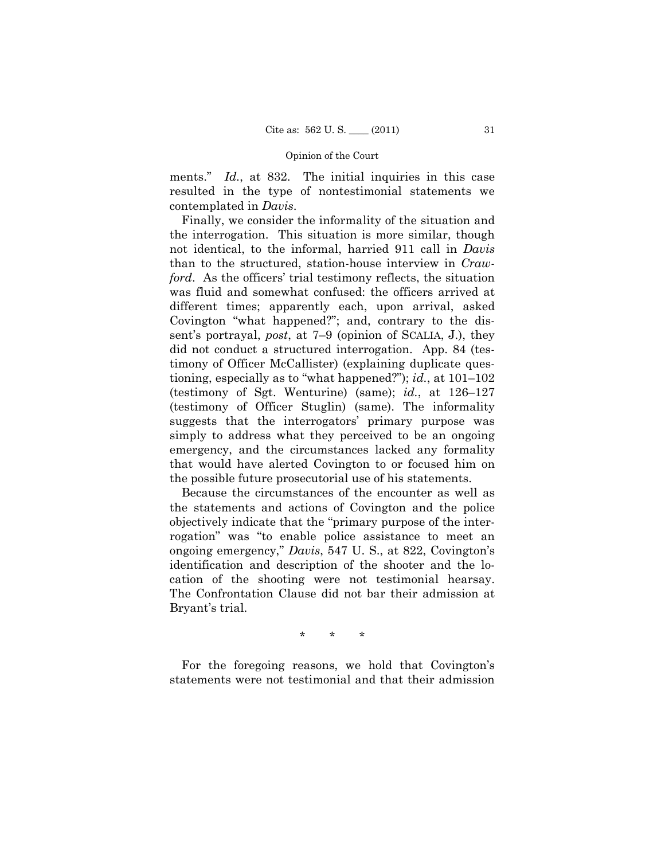ments." *Id.*, at 832. The initial inquiries in this case resulted in the type of nontestimonial statements we contemplated in *Davis*.

Finally, we consider the informality of the situation and the interrogation. This situation is more similar, though not identical, to the informal, harried 911 call in *Davis*  than to the structured, station-house interview in *Crawford*. As the officers' trial testimony reflects, the situation was fluid and somewhat confused: the officers arrived at different times; apparently each, upon arrival, asked Covington "what happened?"; and, contrary to the dissent's portrayal, *post*, at 7–9 (opinion of SCALIA, J.), they did not conduct a structured interrogation. App. 84 (testimony of Officer McCallister) (explaining duplicate questioning, especially as to "what happened?"); *id.*, at 101–102 (testimony of Sgt. Wenturine) (same); *id.*, at 126–127 (testimony of Officer Stuglin) (same). The informality suggests that the interrogators' primary purpose was simply to address what they perceived to be an ongoing emergency, and the circumstances lacked any formality that would have alerted Covington to or focused him on the possible future prosecutorial use of his statements.

Because the circumstances of the encounter as well as the statements and actions of Covington and the police objectively indicate that the "primary purpose of the interrogation" was "to enable police assistance to meet an ongoing emergency," *Davis*, 547 U. S., at 822, Covington's identification and description of the shooter and the location of the shooting were not testimonial hearsay. The Confrontation Clause did not bar their admission at Bryant's trial.

\* \* \*

For the foregoing reasons, we hold that Covington's statements were not testimonial and that their admission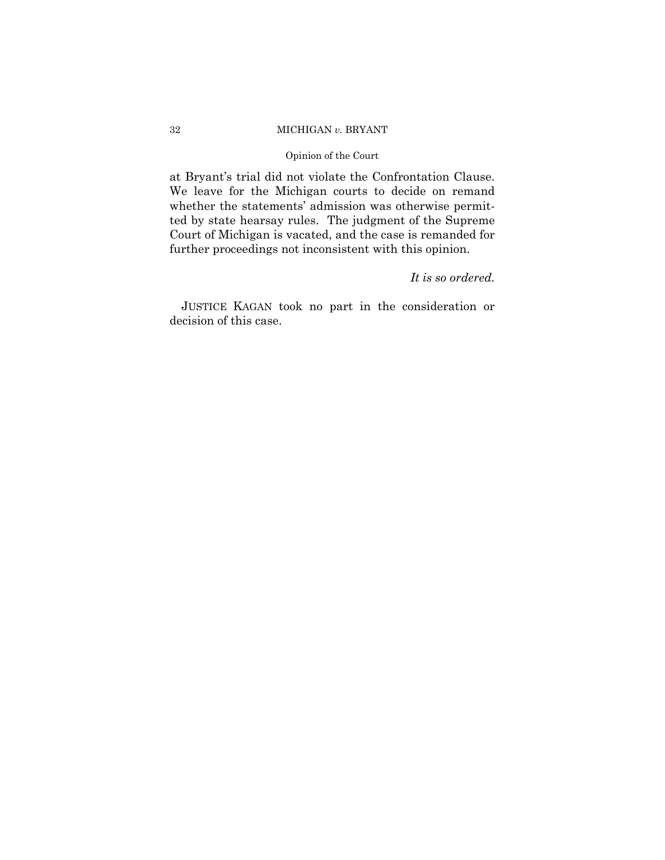### Opinion of the Court

at Bryant's trial did not violate the Confrontation Clause. We leave for the Michigan courts to decide on remand whether the statements' admission was otherwise permitted by state hearsay rules. The judgment of the Supreme Court of Michigan is vacated, and the case is remanded for further proceedings not inconsistent with this opinion.

*It is so ordered.* 

JUSTICE KAGAN took no part in the consideration or decision of this case.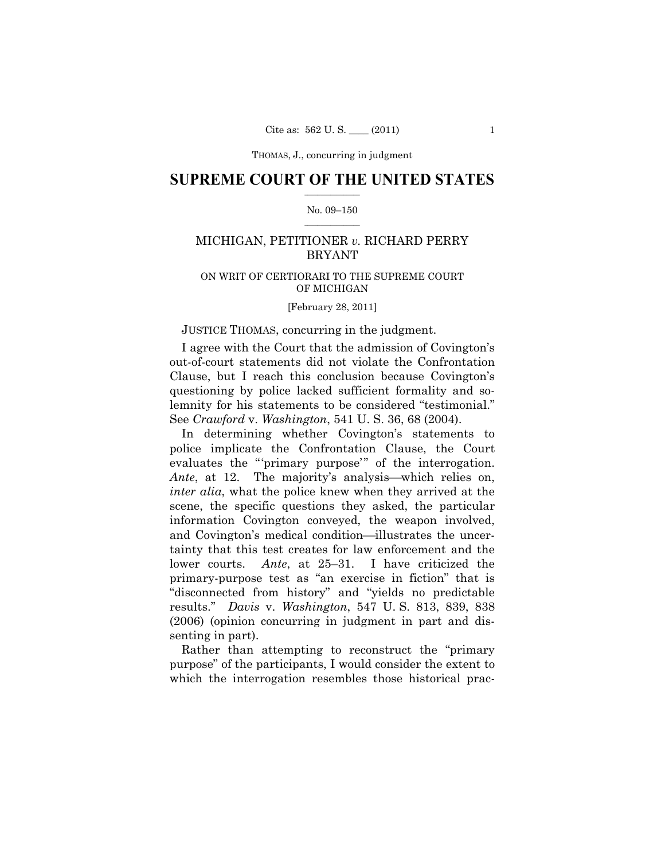THOMAS, J., concurring in judgment

### $\frac{1}{2}$  , where  $\frac{1}{2}$ **SUPREME COURT OF THE UNITED STATES**

#### $\frac{1}{2}$  ,  $\frac{1}{2}$  ,  $\frac{1}{2}$  ,  $\frac{1}{2}$  ,  $\frac{1}{2}$  ,  $\frac{1}{2}$ No. 09–150

# MICHIGAN, PETITIONER *v.* RICHARD PERRY BRYANT

### ON WRIT OF CERTIORARI TO THE SUPREME COURT OF MICHIGAN

[February 28, 2011]

JUSTICE THOMAS, concurring in the judgment.

I agree with the Court that the admission of Covington's out-of-court statements did not violate the Confrontation Clause, but I reach this conclusion because Covington's questioning by police lacked sufficient formality and solemnity for his statements to be considered "testimonial." See *Crawford* v. *Washington*, 541 U. S. 36, 68 (2004).

In determining whether Covington's statements to police implicate the Confrontation Clause, the Court evaluates the "'primary purpose'" of the interrogation. *Ante*, at 12. The majority's analysis—which relies on, *inter alia*, what the police knew when they arrived at the scene, the specific questions they asked, the particular information Covington conveyed, the weapon involved, and Covington's medical condition—illustrates the uncertainty that this test creates for law enforcement and the lower courts. *Ante*, at 25–31. I have criticized the primary-purpose test as "an exercise in fiction" that is "disconnected from history" and "yields no predictable results." *Davis* v. *Washington*, 547 U. S. 813, 839, 838 (2006) (opinion concurring in judgment in part and dissenting in part).

Rather than attempting to reconstruct the "primary purpose" of the participants, I would consider the extent to which the interrogation resembles those historical prac-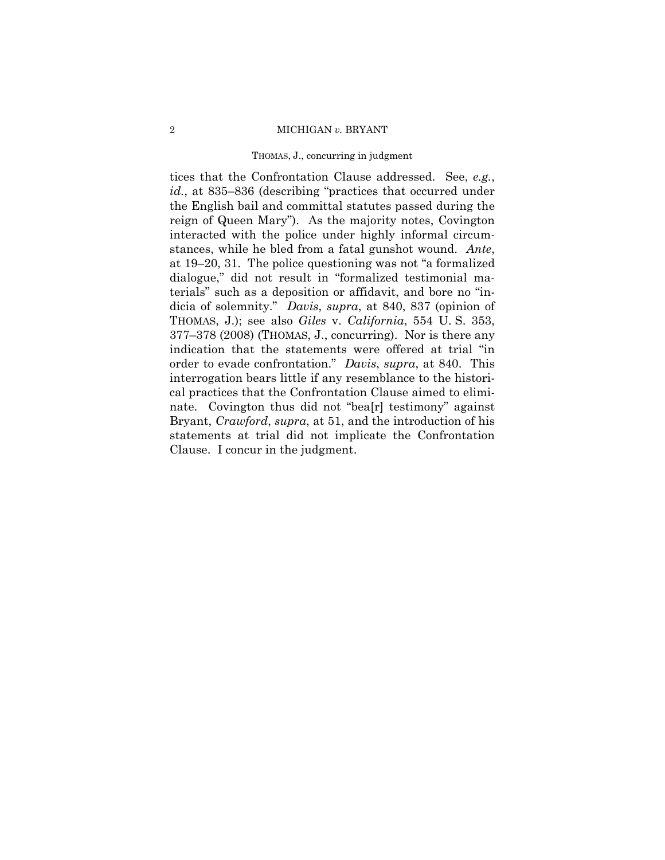#### THOMAS, J., concurring in judgment

tices that the Confrontation Clause addressed. See, *e.g.*, *id.*, at 835–836 (describing "practices that occurred under the English bail and committal statutes passed during the reign of Queen Mary"). As the majority notes, Covington interacted with the police under highly informal circumstances, while he bled from a fatal gunshot wound. *Ante*, at 19–20, 31. The police questioning was not "a formalized dialogue," did not result in "formalized testimonial materials" such as a deposition or affidavit, and bore no "indicia of solemnity." *Davis*, *supra*, at 840, 837 (opinion of THOMAS, J.); see also *Giles* v. *California*, 554 U. S. 353, 377–378 (2008) (THOMAS, J., concurring). Nor is there any indication that the statements were offered at trial "in order to evade confrontation." *Davis*, *supra*, at 840. This interrogation bears little if any resemblance to the historical practices that the Confrontation Clause aimed to eliminate. Covington thus did not "bea[r] testimony" against Bryant, *Crawford*, *supra*, at 51, and the introduction of his statements at trial did not implicate the Confrontation Clause. I concur in the judgment.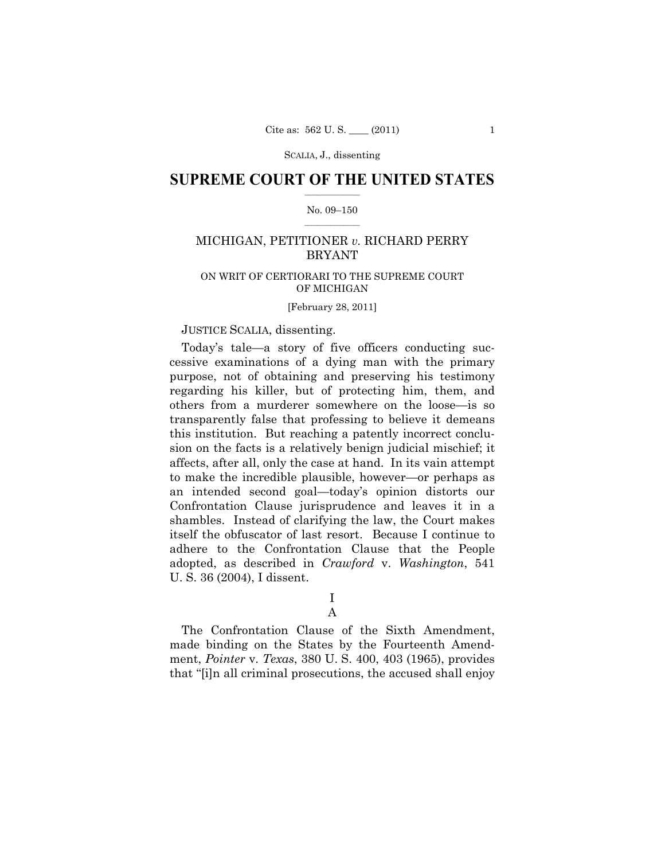### $\frac{1}{2}$  , where  $\frac{1}{2}$ **SUPREME COURT OF THE UNITED STATES**

#### $\frac{1}{2}$  ,  $\frac{1}{2}$  ,  $\frac{1}{2}$  ,  $\frac{1}{2}$  ,  $\frac{1}{2}$  ,  $\frac{1}{2}$ No. 09–150

# MICHIGAN, PETITIONER *v.* RICHARD PERRY BRYANT

### ON WRIT OF CERTIORARI TO THE SUPREME COURT OF MICHIGAN

[February 28, 2011]

### JUSTICE SCALIA, dissenting.

Today's tale—a story of five officers conducting successive examinations of a dying man with the primary purpose, not of obtaining and preserving his testimony regarding his killer, but of protecting him, them, and others from a murderer somewhere on the loose—is so transparently false that professing to believe it demeans this institution. But reaching a patently incorrect conclusion on the facts is a relatively benign judicial mischief; it affects, after all, only the case at hand. In its vain attempt to make the incredible plausible, however—or perhaps as an intended second goal—today's opinion distorts our Confrontation Clause jurisprudence and leaves it in a shambles. Instead of clarifying the law, the Court makes itself the obfuscator of last resort. Because I continue to adhere to the Confrontation Clause that the People adopted, as described in *Crawford* v. *Washington*, 541 U. S. 36 (2004), I dissent.

I

A

The Confrontation Clause of the Sixth Amendment, made binding on the States by the Fourteenth Amendment, *Pointer* v. *Texas*, 380 U. S. 400, 403 (1965), provides that "[i]n all criminal prosecutions, the accused shall enjoy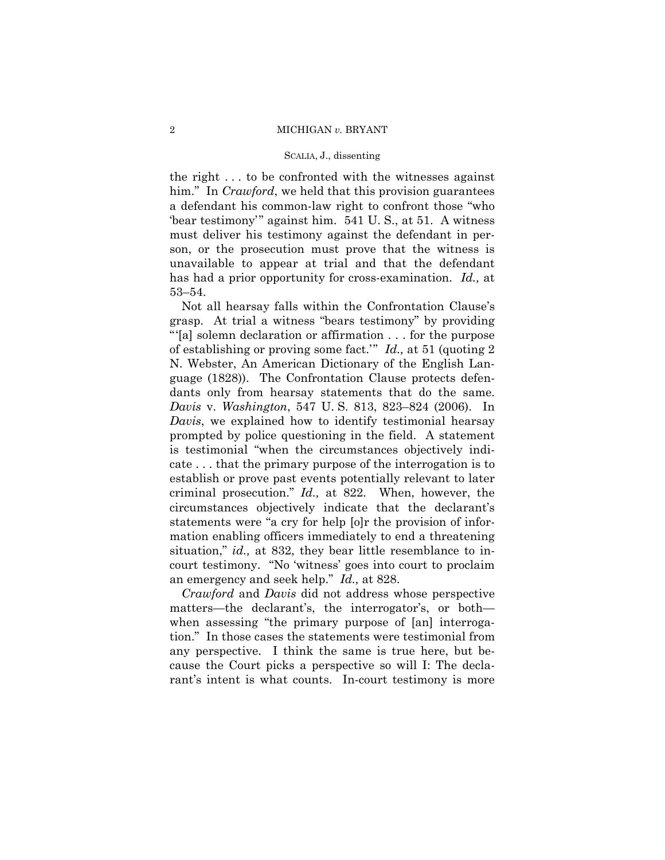#### SCALIA, J., dissenting

the right . . . to be confronted with the witnesses against him." In *Crawford*, we held that this provision guarantees a defendant his common-law right to confront those "who 'bear testimony'" against him. 541 U. S., at 51. A witness must deliver his testimony against the defendant in person, or the prosecution must prove that the witness is unavailable to appear at trial and that the defendant has had a prior opportunity for cross-examination. *Id.,* at 53–54.

Not all hearsay falls within the Confrontation Clause's grasp. At trial a witness "bears testimony" by providing "'[a] solemn declaration or affirmation . . . for the purpose of establishing or proving some fact.'" *Id.,* at 51 (quoting 2 N. Webster, An American Dictionary of the English Language (1828)). The Confrontation Clause protects defendants only from hearsay statements that do the same. *Davis* v. *Washington*, 547 U. S. 813, 823–824 (2006). In *Davis*, we explained how to identify testimonial hearsay prompted by police questioning in the field. A statement is testimonial "when the circumstances objectively indicate . . . that the primary purpose of the interrogation is to establish or prove past events potentially relevant to later criminal prosecution." *Id.,* at 822*.* When, however, the circumstances objectively indicate that the declarant's statements were "a cry for help [o]r the provision of information enabling officers immediately to end a threatening situation," *id.*, at 832, they bear little resemblance to incourt testimony. "No 'witness' goes into court to proclaim an emergency and seek help." *Id.,* at 828.

*Crawford* and *Davis* did not address whose perspective matters—the declarant's, the interrogator's, or both when assessing "the primary purpose of [an] interrogation." In those cases the statements were testimonial from any perspective. I think the same is true here, but because the Court picks a perspective so will I: The declarant's intent is what counts. In-court testimony is more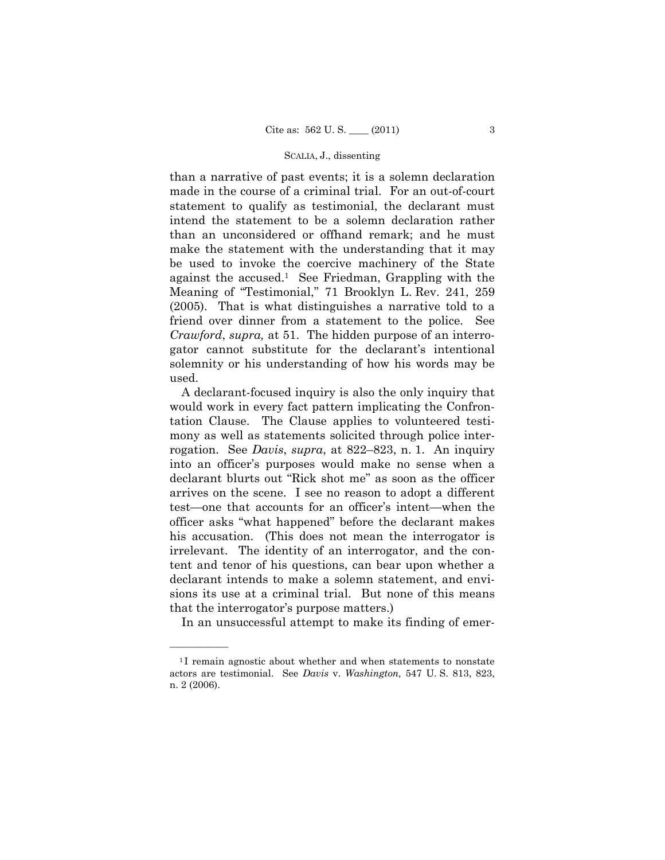than a narrative of past events; it is a solemn declaration made in the course of a criminal trial. For an out-of-court statement to qualify as testimonial, the declarant must intend the statement to be a solemn declaration rather than an unconsidered or offhand remark; and he must make the statement with the understanding that it may be used to invoke the coercive machinery of the State against the accused.<sup>1</sup> See Friedman, Grappling with the Meaning of "Testimonial," 71 Brooklyn L. Rev. 241, 259 (2005). That is what distinguishes a narrative told to a friend over dinner from a statement to the police. See *Crawford*, *supra,* at 51. The hidden purpose of an interrogator cannot substitute for the declarant's intentional solemnity or his understanding of how his words may be used.

A declarant-focused inquiry is also the only inquiry that would work in every fact pattern implicating the Confrontation Clause. The Clause applies to volunteered testimony as well as statements solicited through police interrogation. See *Davis*, *supra*, at 822–823, n. 1. An inquiry into an officer's purposes would make no sense when a declarant blurts out "Rick shot me" as soon as the officer arrives on the scene. I see no reason to adopt a different test—one that accounts for an officer's intent—when the officer asks "what happened" before the declarant makes his accusation. (This does not mean the interrogator is irrelevant. The identity of an interrogator, and the content and tenor of his questions, can bear upon whether a declarant intends to make a solemn statement, and envisions its use at a criminal trial. But none of this means that the interrogator's purpose matters.)

In an unsuccessful attempt to make its finding of emer-

<sup>&</sup>lt;sup>1</sup>I remain agnostic about whether and when statements to nonstate actors are testimonial. See *Davis* v. *Washington,* 547 U. S. 813, 823, n. 2 (2006).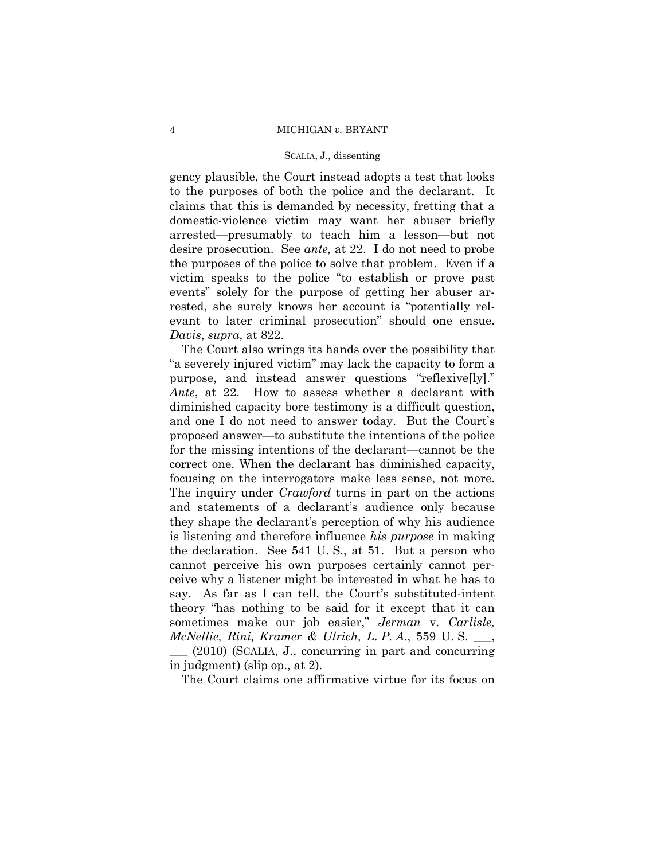#### SCALIA, J., dissenting

gency plausible, the Court instead adopts a test that looks to the purposes of both the police and the declarant. It claims that this is demanded by necessity, fretting that a domestic-violence victim may want her abuser briefly arrested—presumably to teach him a lesson—but not desire prosecution. See *ante,* at 22. I do not need to probe the purposes of the police to solve that problem. Even if a victim speaks to the police "to establish or prove past events" solely for the purpose of getting her abuser arrested, she surely knows her account is "potentially relevant to later criminal prosecution" should one ensue. *Davis*, *supra*, at 822.

The Court also wrings its hands over the possibility that "a severely injured victim" may lack the capacity to form a purpose, and instead answer questions "reflexive[ly]." *Ante*, at 22. How to assess whether a declarant with diminished capacity bore testimony is a difficult question, and one I do not need to answer today. But the Court's proposed answer—to substitute the intentions of the police for the missing intentions of the declarant—cannot be the correct one. When the declarant has diminished capacity, focusing on the interrogators make less sense, not more. The inquiry under *Crawford* turns in part on the actions and statements of a declarant's audience only because they shape the declarant's perception of why his audience is listening and therefore influence *his purpose* in making the declaration. See 541 U. S., at 51. But a person who cannot perceive his own purposes certainly cannot perceive why a listener might be interested in what he has to say. As far as I can tell, the Court's substituted-intent theory "has nothing to be said for it except that it can sometimes make our job easier," *Jerman* v. *Carlisle, McNellie, Rini, Kramer & Ulrich, L. P. A.*, 559 U. S. \_\_\_,

\_\_\_ (2010) (SCALIA, J., concurring in part and concurring in judgment) (slip op., at 2).

The Court claims one affirmative virtue for its focus on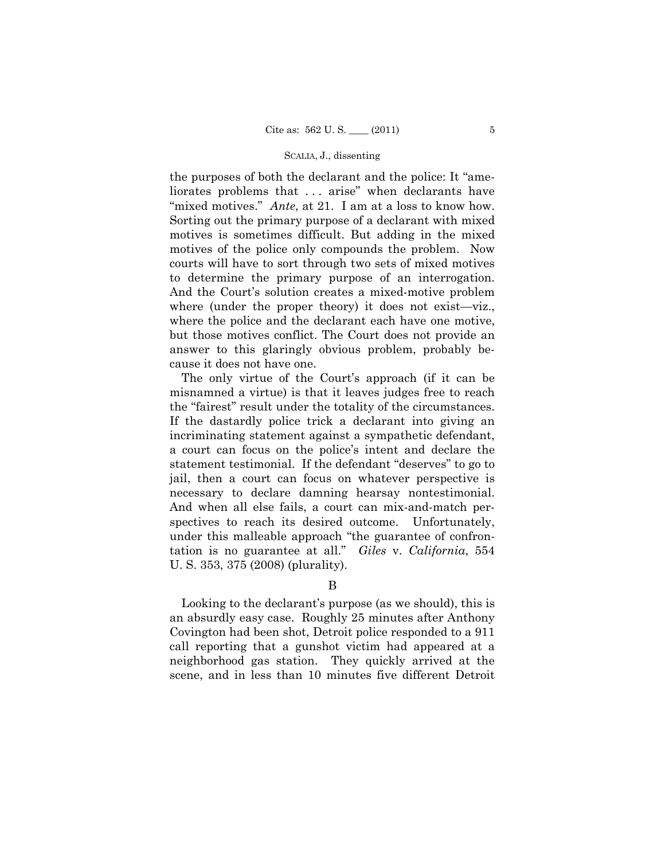the purposes of both the declarant and the police: It "ameliorates problems that ... arise" when declarants have "mixed motives." *Ante*, at 21. I am at a loss to know how. Sorting out the primary purpose of a declarant with mixed motives is sometimes difficult. But adding in the mixed motives of the police only compounds the problem. Now courts will have to sort through two sets of mixed motives to determine the primary purpose of an interrogation. And the Court's solution creates a mixed-motive problem where (under the proper theory) it does not exist—viz., where the police and the declarant each have one motive, but those motives conflict. The Court does not provide an answer to this glaringly obvious problem, probably because it does not have one.

The only virtue of the Court's approach (if it can be misnamned a virtue) is that it leaves judges free to reach the "fairest" result under the totality of the circumstances. If the dastardly police trick a declarant into giving an incriminating statement against a sympathetic defendant, a court can focus on the police's intent and declare the statement testimonial. If the defendant "deserves" to go to jail, then a court can focus on whatever perspective is necessary to declare damning hearsay nontestimonial. And when all else fails, a court can mix-and-match perspectives to reach its desired outcome. Unfortunately, under this malleable approach "the guarantee of confrontation is no guarantee at all." *Giles* v. *California*, 554 U. S. 353, 375 (2008) (plurality).

Looking to the declarant's purpose (as we should), this is an absurdly easy case. Roughly 25 minutes after Anthony Covington had been shot, Detroit police responded to a 911 call reporting that a gunshot victim had appeared at a neighborhood gas station. They quickly arrived at the scene, and in less than 10 minutes five different Detroit

B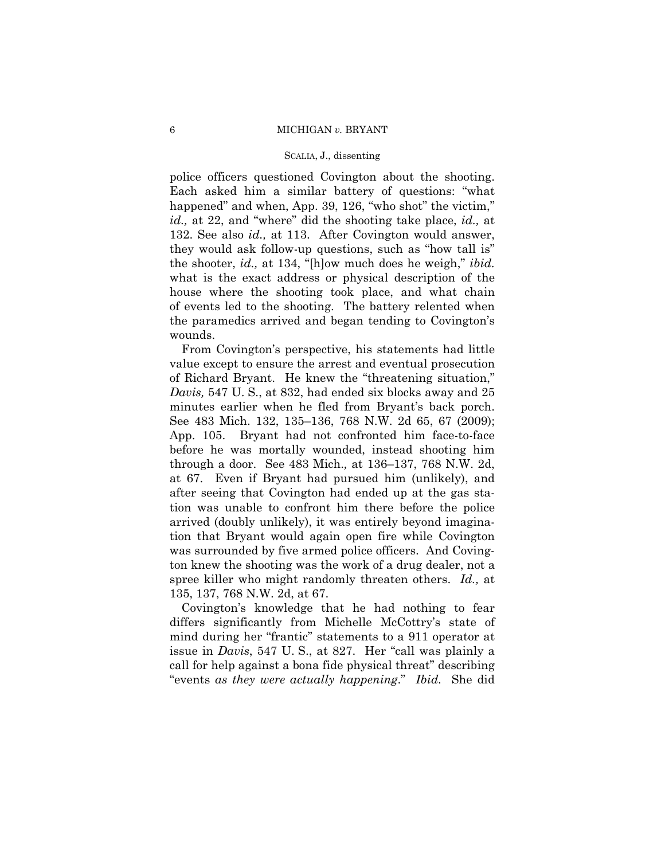#### SCALIA, J., dissenting

police officers questioned Covington about the shooting. Each asked him a similar battery of questions: "what happened" and when, App. 39, 126, "who shot" the victim," *id.,* at 22, and "where" did the shooting take place, *id.,* at 132. See also *id.,* at 113. After Covington would answer, they would ask follow-up questions, such as "how tall is" the shooter, *id.,* at 134, "[h]ow much does he weigh," *ibid.*  what is the exact address or physical description of the house where the shooting took place, and what chain of events led to the shooting. The battery relented when the paramedics arrived and began tending to Covington's wounds.

From Covington's perspective, his statements had little value except to ensure the arrest and eventual prosecution of Richard Bryant. He knew the "threatening situation," *Davis,* 547 U. S., at 832, had ended six blocks away and 25 minutes earlier when he fled from Bryant's back porch. See 483 Mich. 132, 135–136, 768 N.W. 2d 65, 67 (2009); App. 105. Bryant had not confronted him face-to-face before he was mortally wounded, instead shooting him through a door. See 483 Mich.*,* at 136–137, 768 N.W. 2d, at 67. Even if Bryant had pursued him (unlikely), and after seeing that Covington had ended up at the gas station was unable to confront him there before the police arrived (doubly unlikely), it was entirely beyond imagination that Bryant would again open fire while Covington was surrounded by five armed police officers. And Covington knew the shooting was the work of a drug dealer, not a spree killer who might randomly threaten others. *Id.,* at 135, 137, 768 N.W. 2d, at 67.

Covington's knowledge that he had nothing to fear differs significantly from Michelle McCottry's state of mind during her "frantic" statements to a 911 operator at issue in *Davis*, 547 U. S., at 827. Her "call was plainly a call for help against a bona fide physical threat" describing "events *as they were actually happening*." *Ibid.* She did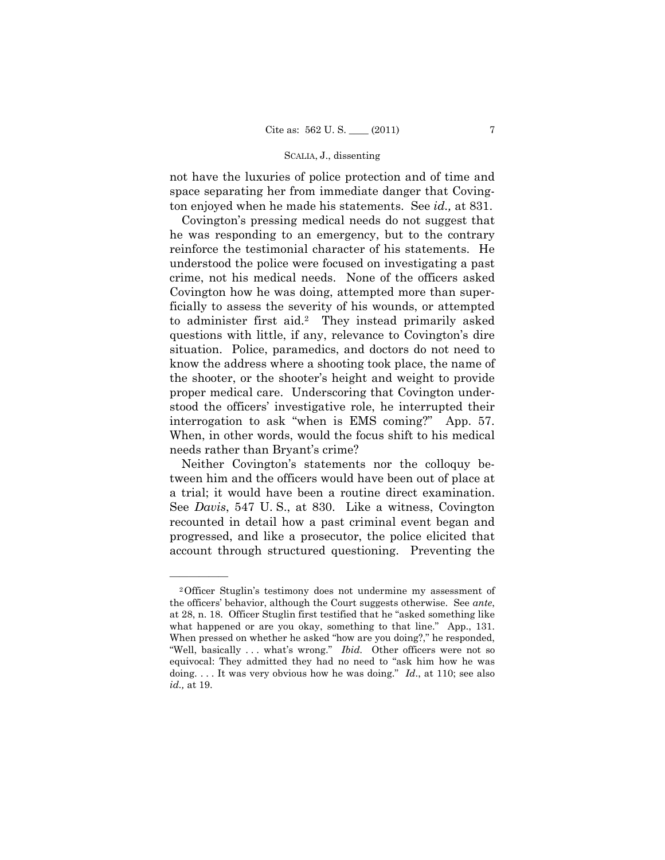not have the luxuries of police protection and of time and space separating her from immediate danger that Covington enjoyed when he made his statements. See *id.,* at 831.

Covington's pressing medical needs do not suggest that he was responding to an emergency, but to the contrary reinforce the testimonial character of his statements. He understood the police were focused on investigating a past crime, not his medical needs. None of the officers asked Covington how he was doing, attempted more than superficially to assess the severity of his wounds, or attempted to administer first aid.2 They instead primarily asked questions with little, if any, relevance to Covington's dire situation. Police, paramedics, and doctors do not need to know the address where a shooting took place, the name of the shooter, or the shooter's height and weight to provide proper medical care. Underscoring that Covington understood the officers' investigative role, he interrupted their interrogation to ask "when is EMS coming?" App. 57. When, in other words, would the focus shift to his medical needs rather than Bryant's crime?

Neither Covington's statements nor the colloquy between him and the officers would have been out of place at a trial; it would have been a routine direct examination. See *Davis*, 547 U. S., at 830. Like a witness, Covington recounted in detail how a past criminal event began and progressed, and like a prosecutor, the police elicited that account through structured questioning. Preventing the

<sup>2</sup>Officer Stuglin's testimony does not undermine my assessment of the officers' behavior, although the Court suggests otherwise. See *ante*, at 28, n. 18. Officer Stuglin first testified that he "asked something like what happened or are you okay, something to that line." App., 131. When pressed on whether he asked "how are you doing?," he responded, "Well, basically ... what's wrong." *Ibid.* Other officers were not so equivocal: They admitted they had no need to "ask him how he was doing. . . . It was very obvious how he was doing." *Id*., at 110; see also *id.,* at 19.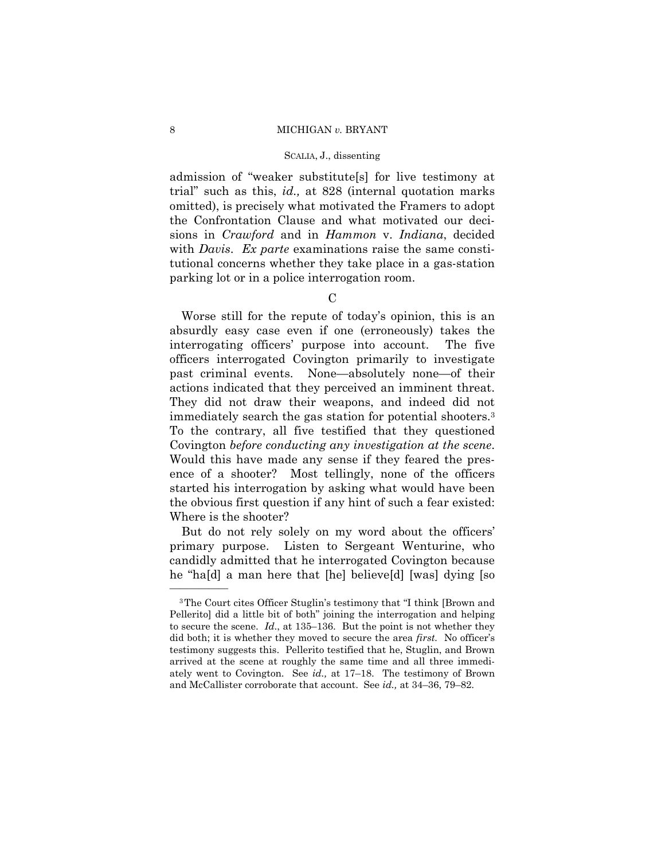#### SCALIA, J., dissenting

admission of "weaker substitute[s] for live testimony at trial" such as this, *id.,* at 828 (internal quotation marks omitted), is precisely what motivated the Framers to adopt the Confrontation Clause and what motivated our decisions in *Crawford* and in *Hammon* v. *Indiana*, decided with *Davis*. *Ex parte* examinations raise the same constitutional concerns whether they take place in a gas-station parking lot or in a police interrogation room.

# $\mathcal{C}$

Worse still for the repute of today's opinion, this is an absurdly easy case even if one (erroneously) takes the interrogating officers' purpose into account. The five officers interrogated Covington primarily to investigate past criminal events. None—absolutely none—of their actions indicated that they perceived an imminent threat. They did not draw their weapons, and indeed did not immediately search the gas station for potential shooters.3 To the contrary, all five testified that they questioned Covington *before conducting any investigation at the scene*. Would this have made any sense if they feared the presence of a shooter? Most tellingly, none of the officers started his interrogation by asking what would have been the obvious first question if any hint of such a fear existed: Where is the shooter?

But do not rely solely on my word about the officers' primary purpose. Listen to Sergeant Wenturine, who candidly admitted that he interrogated Covington because he "ha[d] a man here that [he] believe[d] [was] dying [so

<sup>3</sup>The Court cites Officer Stuglin's testimony that "I think [Brown and Pellerito] did a little bit of both" joining the interrogation and helping to secure the scene. *Id*., at 135–136. But the point is not whether they did both; it is whether they moved to secure the area *first.* No officer's testimony suggests this. Pellerito testified that he, Stuglin, and Brown arrived at the scene at roughly the same time and all three immediately went to Covington. See *id.,* at 17–18. The testimony of Brown and McCallister corroborate that account. See *id.,* at 34–36, 79–82.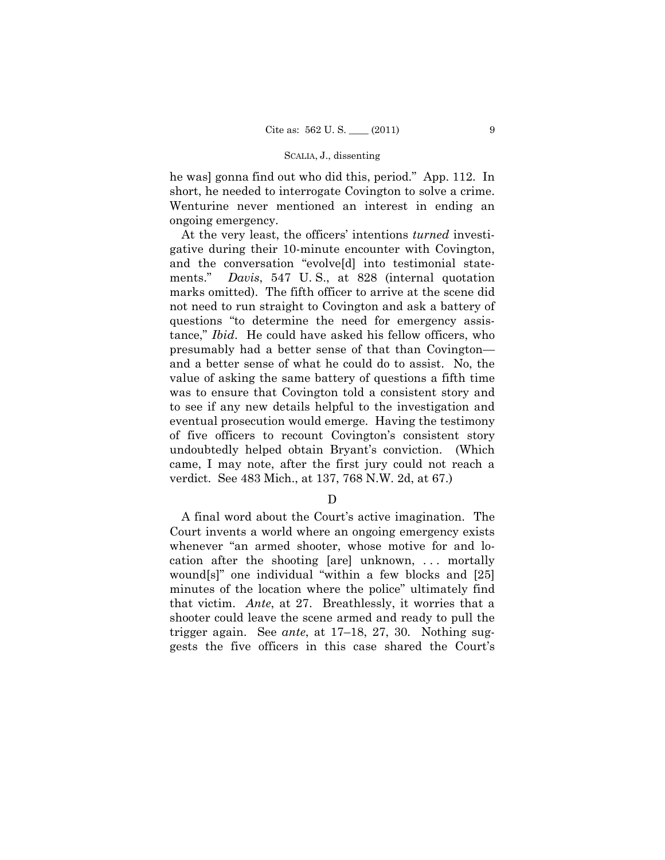he was] gonna find out who did this, period." App. 112. In short, he needed to interrogate Covington to solve a crime. Wenturine never mentioned an interest in ending an ongoing emergency.

At the very least, the officers' intentions *turned* investigative during their 10-minute encounter with Covington, and the conversation "evolve[d] into testimonial statements." *Davis*, 547 U. S., at 828 (internal quotation marks omitted). The fifth officer to arrive at the scene did not need to run straight to Covington and ask a battery of questions "to determine the need for emergency assistance," *Ibid*. He could have asked his fellow officers, who presumably had a better sense of that than Covington and a better sense of what he could do to assist. No, the value of asking the same battery of questions a fifth time was to ensure that Covington told a consistent story and to see if any new details helpful to the investigation and eventual prosecution would emerge. Having the testimony of five officers to recount Covington's consistent story undoubtedly helped obtain Bryant's conviction. (Which came, I may note, after the first jury could not reach a verdict. See 483 Mich., at 137, 768 N.W. 2d, at 67.)

D

A final word about the Court's active imagination. The Court invents a world where an ongoing emergency exists whenever "an armed shooter, whose motive for and location after the shooting [are] unknown, . . . mortally wound[s]" one individual "within a few blocks and [25] minutes of the location where the police" ultimately find that victim. *Ante*, at 27. Breathlessly, it worries that a shooter could leave the scene armed and ready to pull the trigger again. See *ante*, at 17–18, 27, 30*.* Nothing suggests the five officers in this case shared the Court's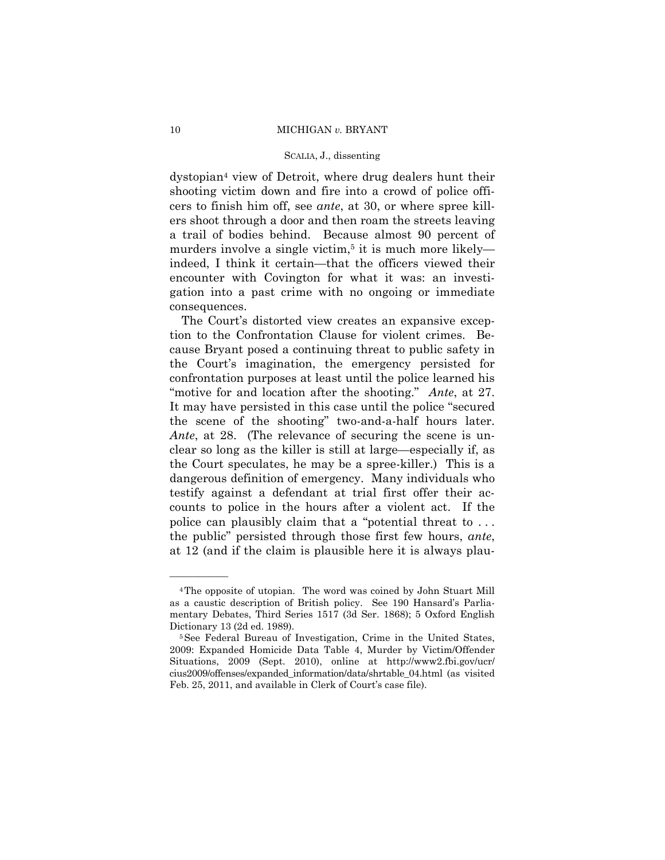#### SCALIA, J., dissenting

dystopian4 view of Detroit, where drug dealers hunt their shooting victim down and fire into a crowd of police officers to finish him off, see *ante*, at 30, or where spree killers shoot through a door and then roam the streets leaving a trail of bodies behind. Because almost 90 percent of murders involve a single victim,<sup>5</sup> it is much more likely indeed, I think it certain—that the officers viewed their encounter with Covington for what it was: an investigation into a past crime with no ongoing or immediate consequences.

The Court's distorted view creates an expansive exception to the Confrontation Clause for violent crimes. Because Bryant posed a continuing threat to public safety in the Court's imagination, the emergency persisted for confrontation purposes at least until the police learned his "motive for and location after the shooting." *Ante*, at 27. It may have persisted in this case until the police "secured the scene of the shooting" two-and-a-half hours later. *Ante*, at 28. (The relevance of securing the scene is unclear so long as the killer is still at large—especially if, as the Court speculates, he may be a spree-killer.) This is a dangerous definition of emergency. Many individuals who testify against a defendant at trial first offer their accounts to police in the hours after a violent act. If the police can plausibly claim that a "potential threat to . . . the public" persisted through those first few hours, *ante*, at 12 (and if the claim is plausible here it is always plau-

<sup>4</sup>The opposite of utopian. The word was coined by John Stuart Mill as a caustic description of British policy. See 190 Hansard's Parliamentary Debates, Third Series 1517 (3d Ser. 1868); 5 Oxford English

<sup>&</sup>lt;sup>5</sup>See Federal Bureau of Investigation, Crime in the United States, 2009: Expanded Homicide Data Table 4, Murder by Victim/Offender Situations, 2009 (Sept. 2010), online at http://www2.fbi.gov/ucr/ cius2009/offenses/expanded\_information/data/shrtable\_04.html (as visited Feb. 25, 2011, and available in Clerk of Court's case file).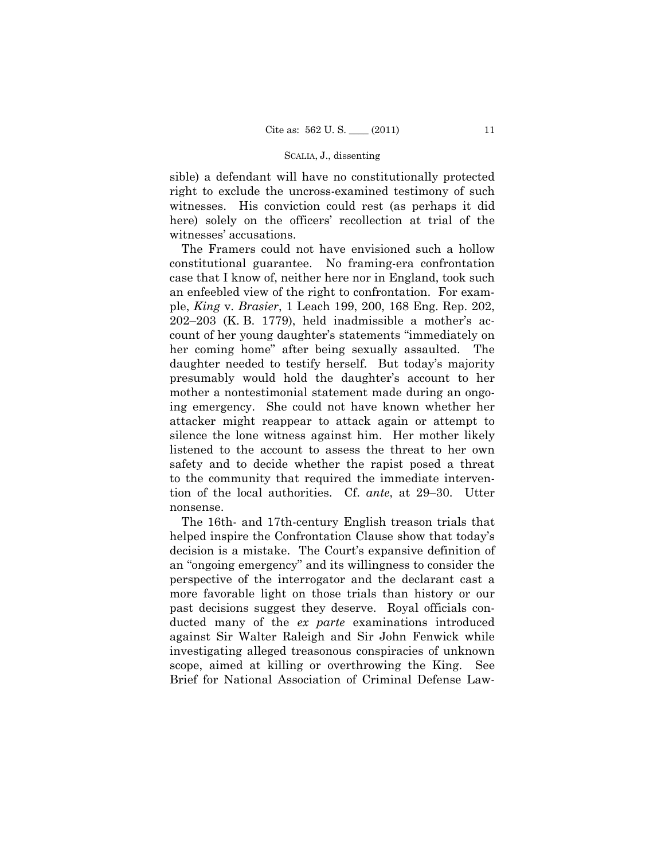sible) a defendant will have no constitutionally protected right to exclude the uncross-examined testimony of such witnesses. His conviction could rest (as perhaps it did here) solely on the officers' recollection at trial of the witnesses' accusations.

The Framers could not have envisioned such a hollow constitutional guarantee. No framing-era confrontation case that I know of, neither here nor in England, took such an enfeebled view of the right to confrontation. For example, *King* v. *Brasier*, 1 Leach 199, 200, 168 Eng. Rep. 202, 202–203 (K. B. 1779), held inadmissible a mother's account of her young daughter's statements "immediately on her coming home" after being sexually assaulted. The daughter needed to testify herself. But today's majority presumably would hold the daughter's account to her mother a nontestimonial statement made during an ongoing emergency. She could not have known whether her attacker might reappear to attack again or attempt to silence the lone witness against him. Her mother likely listened to the account to assess the threat to her own safety and to decide whether the rapist posed a threat to the community that required the immediate intervention of the local authorities. Cf. *ante*, at 29–30. Utter nonsense.

The 16th- and 17th-century English treason trials that helped inspire the Confrontation Clause show that today's decision is a mistake. The Court's expansive definition of an "ongoing emergency" and its willingness to consider the perspective of the interrogator and the declarant cast a more favorable light on those trials than history or our past decisions suggest they deserve. Royal officials conducted many of the *ex parte* examinations introduced against Sir Walter Raleigh and Sir John Fenwick while investigating alleged treasonous conspiracies of unknown scope, aimed at killing or overthrowing the King. See Brief for National Association of Criminal Defense Law-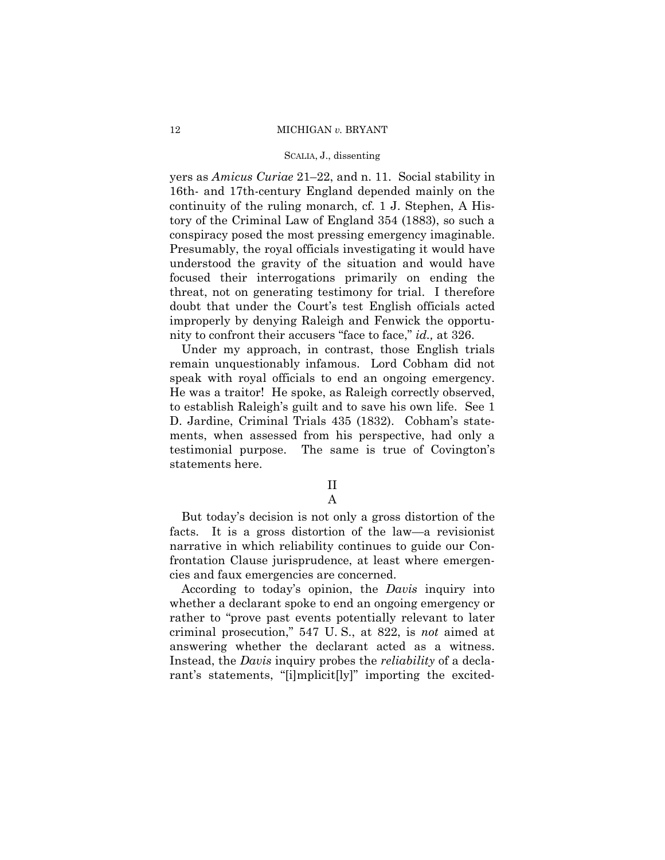#### SCALIA, J., dissenting

yers as *Amicus Curiae* 21–22, and n. 11. Social stability in 16th- and 17th-century England depended mainly on the continuity of the ruling monarch, cf. 1 J. Stephen, A History of the Criminal Law of England 354 (1883), so such a conspiracy posed the most pressing emergency imaginable. Presumably, the royal officials investigating it would have understood the gravity of the situation and would have focused their interrogations primarily on ending the threat, not on generating testimony for trial. I therefore doubt that under the Court's test English officials acted improperly by denying Raleigh and Fenwick the opportunity to confront their accusers "face to face," *id.,* at 326.

Under my approach, in contrast, those English trials remain unquestionably infamous. Lord Cobham did not speak with royal officials to end an ongoing emergency. He was a traitor! He spoke, as Raleigh correctly observed, to establish Raleigh's guilt and to save his own life. See 1 D. Jardine, Criminal Trials 435 (1832). Cobham's statements, when assessed from his perspective, had only a testimonial purpose. The same is true of Covington's statements here.

# II

A

But today's decision is not only a gross distortion of the facts. It is a gross distortion of the law—a revisionist narrative in which reliability continues to guide our Confrontation Clause jurisprudence, at least where emergencies and faux emergencies are concerned.

According to today's opinion, the *Davis* inquiry into whether a declarant spoke to end an ongoing emergency or rather to "prove past events potentially relevant to later criminal prosecution," 547 U. S., at 822, is *not* aimed at answering whether the declarant acted as a witness. Instead, the *Davis* inquiry probes the *reliability* of a declarant's statements, "[i]mplicit[ly]" importing the excited-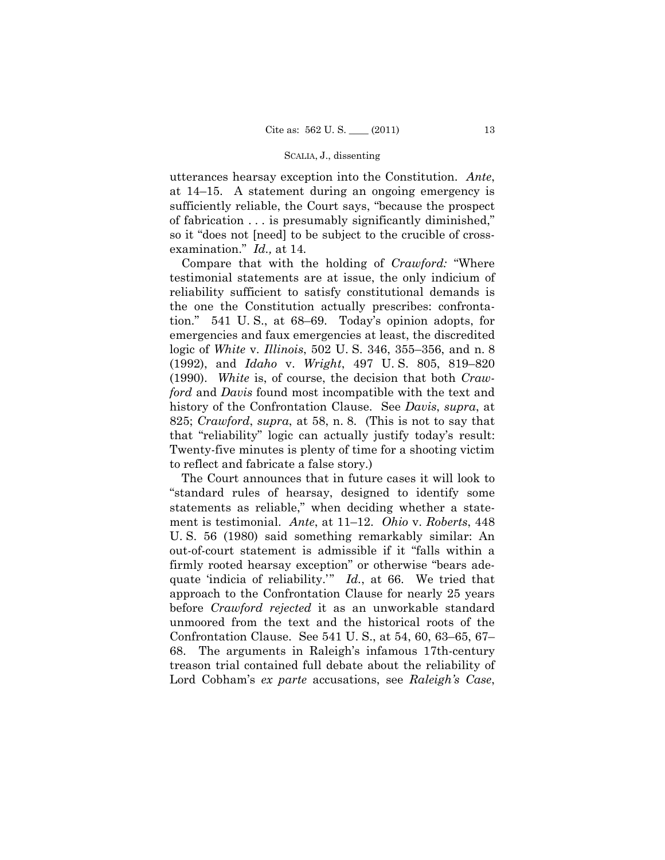utterances hearsay exception into the Constitution. *Ante*, at 14–15. A statement during an ongoing emergency is sufficiently reliable, the Court says, "because the prospect of fabrication . . . is presumably significantly diminished," so it "does not [need] to be subject to the crucible of crossexamination." *Id.,* at 14*.* 

Compare that with the holding of *Crawford:* "Where testimonial statements are at issue, the only indicium of reliability sufficient to satisfy constitutional demands is the one the Constitution actually prescribes: confrontation." 541 U. S., at 68–69. Today's opinion adopts, for emergencies and faux emergencies at least, the discredited logic of *White* v. *Illinois*, 502 U. S. 346, 355–356, and n. 8 (1992), and *Idaho* v. *Wright*, 497 U. S. 805, 819–820 (1990). *White* is, of course, the decision that both *Crawford* and *Davis* found most incompatible with the text and history of the Confrontation Clause. See *Davis*, *supra*, at 825; *Crawford*, *supra*, at 58, n. 8. (This is not to say that that "reliability" logic can actually justify today's result: Twenty-five minutes is plenty of time for a shooting victim to reflect and fabricate a false story.)

The Court announces that in future cases it will look to "standard rules of hearsay, designed to identify some statements as reliable," when deciding whether a statement is testimonial. *Ante*, at 11–12. *Ohio* v. *Roberts*, 448 U. S. 56 (1980) said something remarkably similar: An out-of-court statement is admissible if it "falls within a firmly rooted hearsay exception" or otherwise "bears adequate 'indicia of reliability.'" *Id.*, at 66. We tried that approach to the Confrontation Clause for nearly 25 years before *Crawford rejected* it as an unworkable standard unmoored from the text and the historical roots of the Confrontation Clause. See 541 U. S., at 54, 60, 63–65, 67– 68. The arguments in Raleigh's infamous 17th-century treason trial contained full debate about the reliability of Lord Cobham's *ex parte* accusations, see *Raleigh's Case*,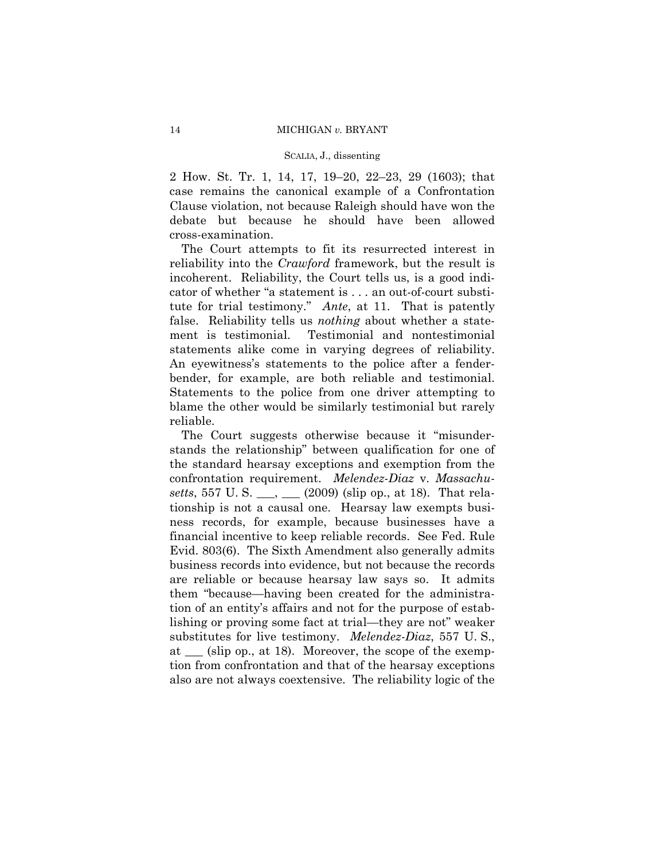2 How. St. Tr. 1, 14, 17, 19–20, 22–23, 29 (1603); that case remains the canonical example of a Confrontation Clause violation, not because Raleigh should have won the debate but because he should have been allowed cross-examination.

The Court attempts to fit its resurrected interest in reliability into the *Crawford* framework, but the result is incoherent. Reliability, the Court tells us, is a good indicator of whether "a statement is . . . an out-of-court substitute for trial testimony." *Ante*, at 11. That is patently false. Reliability tells us *nothing* about whether a statement is testimonial. Testimonial and nontestimonial statements alike come in varying degrees of reliability. An eyewitness's statements to the police after a fenderbender, for example, are both reliable and testimonial. Statements to the police from one driver attempting to blame the other would be similarly testimonial but rarely reliable.

The Court suggests otherwise because it "misunderstands the relationship" between qualification for one of the standard hearsay exceptions and exemption from the confrontation requirement. *Melendez-Diaz* v. *Massachusetts*, 557 U. S. \_\_\_, \_\_\_ (2009) (slip op., at 18). That relationship is not a causal one. Hearsay law exempts business records, for example, because businesses have a financial incentive to keep reliable records. See Fed. Rule Evid. 803(6). The Sixth Amendment also generally admits business records into evidence, but not because the records are reliable or because hearsay law says so. It admits them "because—having been created for the administration of an entity's affairs and not for the purpose of establishing or proving some fact at trial—they are not" weaker substitutes for live testimony. *Melendez-Diaz*, 557 U. S., at \_\_\_ (slip op., at 18). Moreover, the scope of the exemption from confrontation and that of the hearsay exceptions also are not always coextensive. The reliability logic of the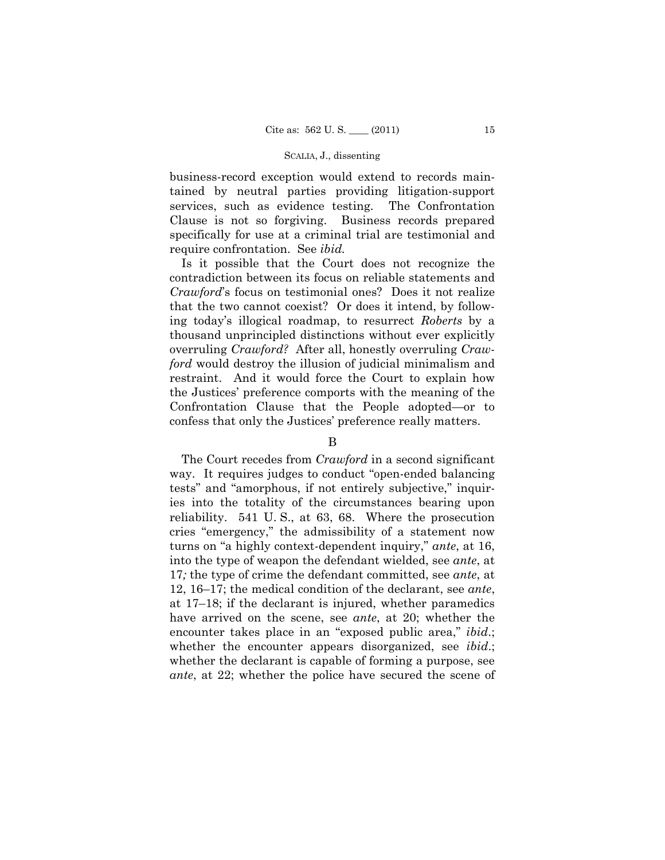business-record exception would extend to records maintained by neutral parties providing litigation-support services, such as evidence testing. The Confrontation Clause is not so forgiving. Business records prepared specifically for use at a criminal trial are testimonial and require confrontation. See *ibid.* 

Is it possible that the Court does not recognize the contradiction between its focus on reliable statements and *Crawford*'s focus on testimonial ones? Does it not realize that the two cannot coexist? Or does it intend, by following today's illogical roadmap, to resurrect *Roberts* by a thousand unprincipled distinctions without ever explicitly overruling *Crawford?* After all, honestly overruling *Crawford* would destroy the illusion of judicial minimalism and restraint. And it would force the Court to explain how the Justices' preference comports with the meaning of the Confrontation Clause that the People adopted—or to confess that only the Justices' preference really matters.

### B

The Court recedes from *Crawford* in a second significant way. It requires judges to conduct "open-ended balancing tests" and "amorphous, if not entirely subjective," inquiries into the totality of the circumstances bearing upon reliability. 541 U. S., at 63, 68. Where the prosecution cries "emergency," the admissibility of a statement now turns on "a highly context-dependent inquiry," *ante*, at 16, into the type of weapon the defendant wielded, see *ante*, at 17*;* the type of crime the defendant committed, see *ante*, at 12, 16–17; the medical condition of the declarant, see *ante*, at 17–18; if the declarant is injured, whether paramedics have arrived on the scene, see *ante*, at 20; whether the encounter takes place in an "exposed public area," *ibid.*; whether the encounter appears disorganized, see *ibid*.; whether the declarant is capable of forming a purpose, see *ante*, at 22; whether the police have secured the scene of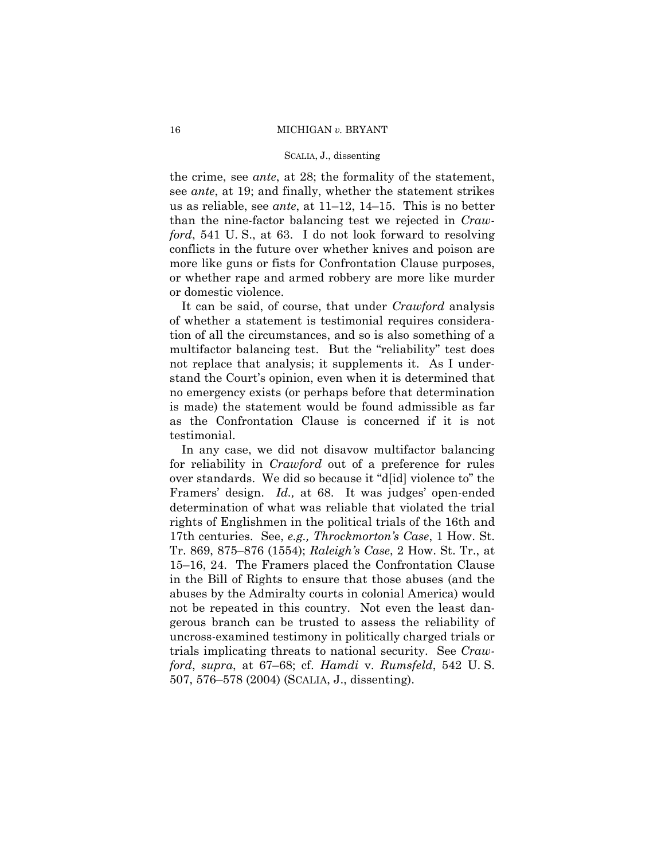#### SCALIA, J., dissenting

the crime, see *ante*, at 28; the formality of the statement, see *ante*, at 19; and finally, whether the statement strikes us as reliable, see *ante*, at 11–12, 14–15. This is no better than the nine-factor balancing test we rejected in *Crawford*, 541 U. S., at 63. I do not look forward to resolving conflicts in the future over whether knives and poison are more like guns or fists for Confrontation Clause purposes, or whether rape and armed robbery are more like murder or domestic violence.

It can be said, of course, that under *Crawford* analysis of whether a statement is testimonial requires consideration of all the circumstances, and so is also something of a multifactor balancing test. But the "reliability" test does not replace that analysis; it supplements it. As I understand the Court's opinion, even when it is determined that no emergency exists (or perhaps before that determination is made) the statement would be found admissible as far as the Confrontation Clause is concerned if it is not testimonial.

In any case, we did not disavow multifactor balancing for reliability in *Crawford* out of a preference for rules over standards. We did so because it "d[id] violence to" the Framers' design. *Id.,* at 68. It was judges' open-ended determination of what was reliable that violated the trial rights of Englishmen in the political trials of the 16th and 17th centuries. See, *e.g., Throckmorton's Case*, 1 How. St. Tr. 869, 875–876 (1554); *Raleigh's Case*, 2 How. St. Tr., at 15–16, 24. The Framers placed the Confrontation Clause in the Bill of Rights to ensure that those abuses (and the abuses by the Admiralty courts in colonial America) would not be repeated in this country. Not even the least dangerous branch can be trusted to assess the reliability of uncross-examined testimony in politically charged trials or trials implicating threats to national security. See *Crawford*, *supra*, at 67–68; cf. *Hamdi* v. *Rumsfeld*, 542 U. S. 507, 576–578 (2004) (SCALIA, J., dissenting).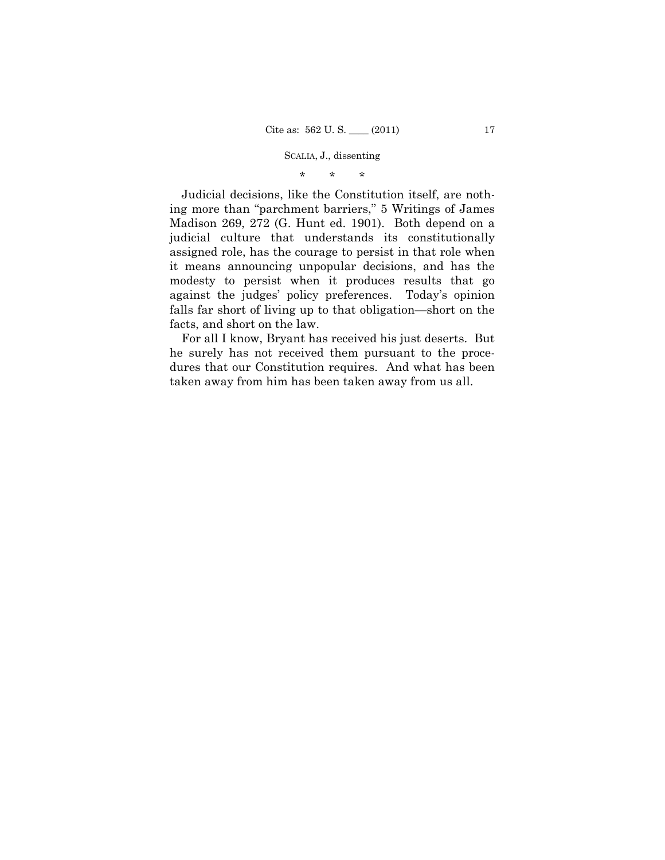\* \* \*

Judicial decisions, like the Constitution itself, are nothing more than "parchment barriers," 5 Writings of James Madison 269, 272 (G. Hunt ed. 1901). Both depend on a judicial culture that understands its constitutionally assigned role, has the courage to persist in that role when it means announcing unpopular decisions, and has the modesty to persist when it produces results that go against the judges' policy preferences. Today's opinion falls far short of living up to that obligation—short on the facts, and short on the law.

For all I know, Bryant has received his just deserts. But he surely has not received them pursuant to the procedures that our Constitution requires. And what has been taken away from him has been taken away from us all.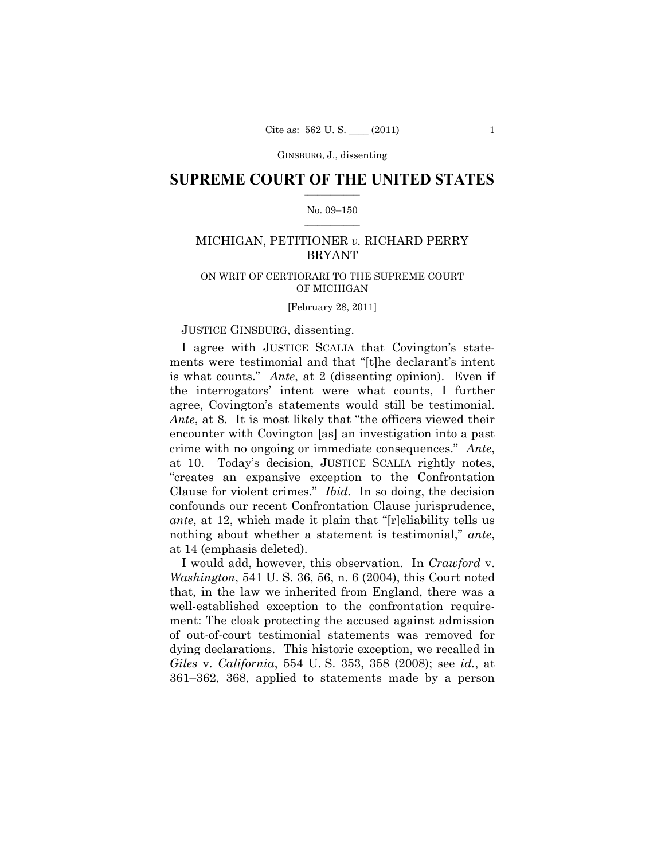GINSBURG, J., dissenting

### $\frac{1}{2}$  , where  $\frac{1}{2}$ **SUPREME COURT OF THE UNITED STATES**

#### $\frac{1}{2}$  ,  $\frac{1}{2}$  ,  $\frac{1}{2}$  ,  $\frac{1}{2}$  ,  $\frac{1}{2}$  ,  $\frac{1}{2}$ No. 09–150

# MICHIGAN, PETITIONER *v.* RICHARD PERRY BRYANT

### ON WRIT OF CERTIORARI TO THE SUPREME COURT OF MICHIGAN

[February 28, 2011]

### JUSTICE GINSBURG, dissenting.

I agree with JUSTICE SCALIA that Covington's statements were testimonial and that "[t]he declarant's intent is what counts." *Ante*, at 2 (dissenting opinion). Even if the interrogators' intent were what counts, I further agree, Covington's statements would still be testimonial. *Ante*, at 8. It is most likely that "the officers viewed their encounter with Covington [as] an investigation into a past crime with no ongoing or immediate consequences." *Ante*, at 10. Today's decision, JUSTICE SCALIA rightly notes, "creates an expansive exception to the Confrontation Clause for violent crimes." *Ibid.* In so doing, the decision confounds our recent Confrontation Clause jurisprudence, *ante*, at 12, which made it plain that "[r]eliability tells us nothing about whether a statement is testimonial," *ante*, at 14 (emphasis deleted).

I would add, however, this observation. In *Crawford* v. *Washington*, 541 U. S. 36, 56, n. 6 (2004), this Court noted that, in the law we inherited from England, there was a well-established exception to the confrontation requirement: The cloak protecting the accused against admission of out-of-court testimonial statements was removed for dying declarations. This historic exception, we recalled in *Giles* v. *California*, 554 U. S. 353, 358 (2008); see *id.*, at 361–362, 368, applied to statements made by a person